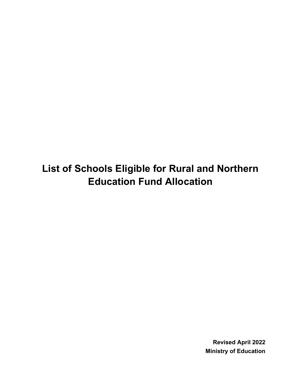**List of Schools Eligible for Rural and Northern Education Fund Allocation**

> **Revised April 2022 Ministry of Education**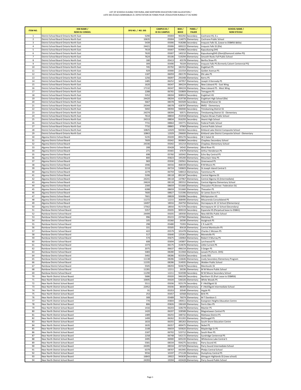| <b>ITEM NO.</b>         | <b>DSB NAME /</b><br><b>NOM DU CONSEIL</b>                                           | SFIS NO. / NO. SIIS | <b>CAMPUS ID /</b><br><b>ID DU CAMPUS</b> | BSID/<br><b>BDICE</b> | PANEL/<br><b>PALIER</b>                | <b>SCHOOL NAME /</b><br><b>NOM D'ÉCOLE</b>                                  |
|-------------------------|--------------------------------------------------------------------------------------|---------------------|-------------------------------------------|-----------------------|----------------------------------------|-----------------------------------------------------------------------------|
| 1                       | District School Board Ontario North East                                             | 5290                | 05004                                     |                       | 902292 Secondary                       | Cochrane HS, E.s.                                                           |
| $\overline{2}$          | District School Board Ontario North East                                             | 10635               | 05004                                     |                       | 114073 Elementary                      | Cochrane Public School                                                      |
| $\overline{\mathbf{3}}$ | District School Board Ontario North East                                             | 5439                | 05006                                     |                       | 918288 Secondary                       | Iroquois Falls SS, (Lease to DSB#56 &60a)                                   |
| 4                       | District School Board Ontario North East                                             | 24421               | 05006                                     |                       | 600222 Elementary                      | Iroquois Falls SS (Ele)                                                     |
| 5<br>6                  | District School Board Ontario North East<br>District School Board Ontario North East | 7619<br>7620        | 05007<br>05007                            |                       | 919063 Secondary<br>140210 Elementary  | Kapuskasing DHS<br>KapuskasingDHS (Elem)(Diamond Jubilee PS)                |
| $\overline{7}$          | District School Board Ontario North East                                             | 7624                | 05106                                     |                       | 519294 Elementary                      | Smooth Rocks Fall Public School                                             |
| 8                       | District School Board Ontario North East                                             | 180                 | 05413                                     | 45578                 | Elementary                             | Bertha Shaw PS                                                              |
| 9                       | District School Board Ontario North East                                             | 309                 | 05490                                     | 76104                 | Elementary                             | Iroquois Falls PS (formerly Calvert Centennial PS)                          |
| 10                      | District School Board Ontario North East                                             | 745                 | 05792                                     |                       | 181552 Elementary                      | <b>Englehart PS</b>                                                         |
| 11                      | District School Board Ontario North East                                             | 929                 | 05900                                     | 221554                | Elementary                             | Golden Avenue PS                                                            |
| 12                      | District School Board Ontario North East                                             | 1187                | 06059                                     |                       | 282170 Elementary                      | Elk Lake PS                                                                 |
| 13<br>14                | District School Board Ontario North East<br>District School Board Ontario North East | 1256<br>1485        | 06097<br>0625                             |                       | 291048 Elementary<br>347957 Elementary | Kerns PS<br>Joseph H Kennedy PS                                             |
| 15                      | District School Board Ontario North East                                             | 1620                | 06347                                     |                       | 384224 Elementary                      | New Liskeard PS - East Wing                                                 |
| 16                      | District School Board Ontario North East                                             | 17132               | 06347                                     |                       | 384224 Elementary                      | New Liskeard PS - West Wing                                                 |
| 17                      | District School Board Ontario North East                                             | 2288                | 06765                                     |                       | 550809 Elementary                      | Temagami PS                                                                 |
| 18                      | District School Board Ontario North East                                             | 5352                | 08204                                     |                       | 908924 Secondary                       | <b>Englehart HS</b>                                                         |
| 19                      | District School Board Ontario North East                                             | 24420               | 08204                                     |                       | 619738 Elementary                      | Englehart High School (Ele)                                                 |
| 20                      | District School Board Ontario North East                                             | 5667                | 08378                                     |                       | 943509 Secondary                       | Roland Michener SS                                                          |
| 21                      | District School Board Ontario North East                                             | 24344               | 08378                                     |                       | 428797 Elementary                      | RMSS - Elementary                                                           |
| 22<br>23                | District School Board Ontario North East<br>District School Board Ontario North East | 5692<br>24374       | 08394<br>08394                            |                       | 946940 Secondary<br>50571 Elementary   | <b>Timiskaming District SS</b><br>Timiskaming District SS - Elementary      |
| 24                      | District School Board Ontario North East                                             | 7614                | 08834                                     |                       | 252018 Elementary                      | Clayton Brown Public School                                                 |
| 25                      | District School Board Ontario North East                                             | 24313               | 08834                                     |                       | 916293 Secondary                       | <b>Hearst High School</b>                                                   |
| 26                      | District School Board Ontario North East                                             | 7731                | 08864                                     |                       | 193771 Elementary                      | Federal Public School                                                       |
| 27                      | District School Board Ontario North East                                             | 7732                | 08865                                     |                       | 97969 Elementary                       | Central Public School                                                       |
| 28                      | District School Board Ontario North East                                             | 10825               | 12029                                     |                       | 920363 Secondary                       | Kirkland Lake District Composite School                                     |
| 29                      | District School Board Ontario North East                                             | 10863               | 12029                                     |                       | 296600 Elementary                      | Kirkland Lake District Composite School - Elementary                        |
| 30                      | Algoma District School Board                                                         | 5235                | 05039                                     |                       | 895270 Secondary                       | W C Eaket SS                                                                |
| 31<br>32                | Algoma District School Board<br>Algoma District School Board                         | 7609<br>24336       | 05042<br>05042                            |                       | 900869 Secondary<br>101214 Elementary  | Chapleau Secondary School<br>Chapleau Elementary School                     |
| 33                      | Algoma District School Board                                                         | 208                 | 05428                                     |                       | 54542 Elementary                       | <b>Blind River PS</b>                                                       |
| 34                      | Algoma District School Board                                                         | 271                 | 05465                                     |                       | 67679 Elementary                       | Arthur Henderson PS                                                         |
| 35                      | Algoma District School Board                                                         | 698                 | 05760                                     |                       | 165042 Elementary                      | Echo Bay Central PS                                                         |
| 36                      | Algoma District School Board                                                         | 800                 | 05823                                     |                       | 195200 Elementary                      | Mountain View PS                                                            |
| 37                      | Algoma District School Board                                                         | 969                 | 05930                                     | 230561                | Elementary                             | Greenwood PS                                                                |
| 38                      | Algoma District School Board                                                         | 1946                | 06556                                     |                       | 468339 Elementary                      | R M Moore PS                                                                |
| 39                      | Algoma District School Board                                                         | 2219                | 06724                                     |                       | 530603 Elementary                      | St Joseph Island Central S                                                  |
| 40                      | Algoma District School Board                                                         | 2279                | 06759                                     |                       | 548413 Elementary                      | Tarentorus PS                                                               |
| 41<br>42                | Algoma District School Board<br>Algoma District School Board                         | 5206<br>24241       | 08118<br>08118                            |                       | 891347 Secondary<br>137967 Elementary  | Central Algoma SS<br>Central Algoma SS (Intermediate)                       |
| 43                      | Algoma District School Board                                                         | 24624               | 08118                                     |                       | 285552 Elementary                      | Central Algoma Elementary School                                            |
| 44                      | Algoma District School Board                                                         | 2300                | 08659                                     |                       | 551660 Elementary                      | Thessalon PS (Annex- Federation St)                                         |
| 45                      | Algoma District School Board                                                         | 6288                | 08659                                     |                       | 551660 Elementary                      | Thessalon PS                                                                |
| 46                      | Algoma District School Board                                                         | 7600                | 08827                                     |                       | 515396 Elementary                      | Sir James Dunn P.S.                                                         |
| 47                      | Algoma District School Board                                                         | 7601                | 08828                                     |                       | 926086 Secondary                       | Michipicoten HS                                                             |
| 48                      | Algoma District School Board                                                         | 11272               | 12215                                     |                       | 368490 Elementary                      | Missarenda Consolidated PS                                                  |
| 49<br>50                | Algoma District School Board<br>Algoma District School Board                         | 14497<br>17562      | 18016<br>18016                            |                       | 264750 Elementary<br>917370 Secondary  | Hornepayne JK-12 School (Elementary)<br>Hornepayne JK-12 School (Secondary) |
| 51                      | Rainbow District School Board                                                        | 5357                | 05035                                     |                       | 909319 Secondary                       | Espanola HS (Perpetual lease to DSB61)                                      |
| 52                      | Rainbow District School Board                                                        | 24499               | 05035                                     |                       | 185930 Elementary                      | New AB Ellis Public School                                                  |
| 53                      | Rainbow District School Board                                                        | 996                 | 05215                                     |                       | 237582 Elementary                      | Markstay PS                                                                 |
| 54                      | Rainbow District School Board                                                        | 105                 | 05360                                     |                       | 26590 Elementary                       | Assiginack PS                                                               |
| 55                      | Rainbow District School Board                                                        | 298                 | 05480                                     |                       | 73393 Elementary                       | CR Judd PS                                                                  |
| 56                      | Rainbow District School Board                                                        | 331                 | 05505                                     |                       | 85618 Elementary                       | Central Manitoulin PS                                                       |
| 57                      | Rainbow District School Board                                                        | 422                 | 05579                                     |                       | 101478 Elementary                      | Charles C McLean PS                                                         |
| 58<br>59                | Rainbow District School Board<br>Rainbow District School Board                       | 517<br>574          | 05640<br>0567                             | 125261<br>136964      | Elementary<br>Elementary               | Monetville PS<br>Robert H Murray PS                                         |
| 60                      | Rainbow District School Board                                                        | 608                 | 05694                                     |                       | 145807 Elementary                      | Larchwood PS                                                                |
| 61                      | Rainbow District School Board                                                        | 1373                | 06175                                     |                       | 314676 Elementary                      | Little Current PS                                                           |
| 62                      | Rainbow District School Board                                                        | 2075                | 06637                                     |                       | 496154 Elementary                      | S Geiger PS                                                                 |
| 63                      | Rainbow District School Board                                                        | 5483                | 08280                                     |                       | 311944 Elementary                      | Levack PS (Form. DHS)                                                       |
| 64                      | Rainbow District School Board                                                        | 5492                | 08286                                     |                       | 923354 Secondary                       | <b>Lively DSS</b>                                                           |
| 65                      | Rainbow District School Board                                                        | 11138               | 08286                                     |                       | 116646 Elementary                      | Lively Secondary Elementary Program                                         |
| 66                      | Rainbow District School Board                                                        | 11335               | 08286                                     |                       | 314935 Elementary                      | Walden Public School                                                        |
| 67<br>68                | Rainbow District School Board<br>Rainbow District School Board                       | 5505<br>11281       | 08293<br>12211                            |                       | 924679 Secondary<br>26336 Elementary   | Manitoulin SS<br>M W Moore Public School                                    |
| 69                      | Rainbow District School Board                                                        | 11290               | 12211                                     | 924598                | Secondary                              | M W Moore Secondary School                                                  |
| 70                      | Near North District School Board                                                     | 5686                | 05020                                     | 946109                | Secondary                              | Northern SS (Part Lease to DSB#56)                                          |
| $71\,$                  | Near North District School Board                                                     | 10695               | 05020                                     |                       | 536326 Elementary                      | White Woods PS                                                              |
| 72                      | Near North District School Board                                                     | 5511                | 05036                                     |                       | 925179 Secondary                       | F J McElligott SS                                                           |
| 73                      | Near North District School Board                                                     | 22952               | 05036                                     |                       | 88309 Elementary                       | F J McElligott Intermediate School                                          |
| 74                      | Near North District School Board                                                     | 91                  | 05353                                     |                       | 20540 Elementary                       | Argyle PS                                                                   |
| 75                      | Near North District School Board                                                     | 253                 | 05457                                     |                       | 63568 Elementary                       | <b>Britt PS</b>                                                             |
| 76<br>77                | Near North District School Board<br>Near North District School Board                 | 308<br>770          | 05489<br>05804                            |                       | 76074 Elementary<br>190411 Elementary  | M T Davidson S<br>Evergreen Heights Education Centre                        |
| 78                      | Near North District School Board                                                     | 806                 | 05826                                     |                       | 196169 Elementary                      | Ferris Glen PS                                                              |
| 79                      | Near North District School Board                                                     | 1416                | 06203                                     |                       | 328278 Elementary                      | Mactier PS                                                                  |
| 80                      | Near North District School Board                                                     | 1420                | 06207                                     |                       | 328588 Elementary                      | Magnetawan Central PS                                                       |
| 81                      | Near North District School Board                                                     | 1489                | 06255                                     |                       | 348732 Elementary                      | Mattawa District PS                                                         |
| 82                      | Near North District School Board                                                     | 1499                | 06262                                     |                       | 351202 Elementary                      | McDougall PS                                                                |
| 83                      | Near North District School Board                                                     | 1633                | 06355                                     |                       | 385263 Elementary                      | South Shore Education Centre                                                |
| 84                      | Near North District School Board                                                     | 1635                | 06357                                     |                       | 400475 Elementary                      | Nobel PS                                                                    |
| 85                      | Near North District School Board                                                     | 2108                | 06659                                     |                       | 505820 Elementary                      | Mapleridge Sr PS                                                            |
| 86<br>87                | Near North District School Board<br>Near North District School Board                 | 2187<br>2258        | 06702<br>06748                            |                       | 523712 Elementary<br>542172 Elementary | South River PS<br>Sundridge Centennial PS                                   |
| 88                      | Near North District School Board                                                     | 2495                | 06900                                     |                       | 605220 Elementary                      | Whitestone Lake Central S                                                   |
| 89                      | Near North District School Board                                                     | 5581                | 08334                                     |                       | 934275 Secondary                       | Parry Sound HS                                                              |
| 90                      | Near North District School Board                                                     | 24395               | 08334                                     |                       | 437329 Elementary                      | Parry Sound Intermediate School                                             |
| 91                      | Near North District School Board                                                     | 6379                | 08707                                     |                       | 441945 Elementary                      | Phelps Central School                                                       |
| 92                      | Near North District School Board                                                     | 9556                | 10197                                     |                       | 271128 Elementary                      | Humphrey Central PS                                                         |
| 93                      | Near North District School Board                                                     | 16843               | 19022                                     |                       | 943630 Secondary                       | Almaguin Highlands SS (new school)                                          |
| 94                      | Near North District School Board                                                     | 24393               | 19394                                     |                       | 420428 Elementary                      | Parry Sound Public School                                                   |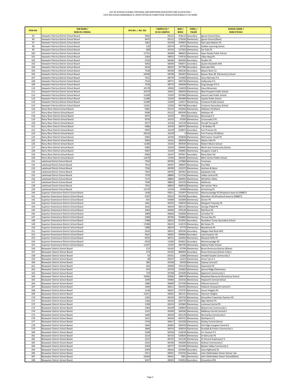| <b>ITEM NO.</b> | <b>DSB NAME /</b><br><b>NOM DU CONSEIL</b>                                             | SFIS NO. / NO. SIIS | <b>CAMPUS ID /</b><br><b>ID DU CAMPUS</b> | <b>BSID/</b><br><b>BDICE</b> | PANEL/<br><b>PALIER</b>                | <b>SCHOOL NAME /</b><br><b>NOM D'ÉCOLE</b>                           |
|-----------------|----------------------------------------------------------------------------------------|---------------------|-------------------------------------------|------------------------------|----------------------------------------|----------------------------------------------------------------------|
| 95              | Keewatin-Patricia District School Board                                                | 5942                | 05121                                     |                              | 918113 Secondary                       | Ignace School (Sec)                                                  |
| 96              | Keewatin-Patricia District School Board                                                | 9475                | 05121                                     |                              | 275026 Elementary                      | Ignace School (Elem)                                                 |
| 97<br>98        | Keewatin-Patricia District School Board<br>Keewatin-Patricia District School Board     | 1962<br>120         | 05149<br>05374                            |                              | 478997 Elementary<br>30759 Elementary  | Red Lake Madsen PS<br>Golden Learning Centre                         |
| 99              | Keewatin-Patricia District School Board                                                | 669                 | 05742                                     |                              | 157503 Elementary                      | Ear Falls PS                                                         |
| 100             | Keewatin-Patricia District School Board                                                | 17731               | 06589                                     | 486663                       | Elementary                             | Open Roads Public School                                             |
| 101             | Keewatin-Patricia District School Board                                                | 2364                | 06815                                     |                              | 570516 Elementary                      | Lillian Berg PS                                                      |
| 102<br>103      | Keewatin-Patricia District School Board<br>Keewatin-Patricia District School Board     | 5316<br>5602        | 08186<br>08349                            |                              | 905283 Secondary<br>936871 Secondary   | Dryden HS<br>Queen Elizabeth DHS                                     |
| 104             | Keewatin-Patricia District School Board                                                | 5610                | 08352                                     | 937789                       | Secondary                              | Red Lake DHS                                                         |
| 105             | Keewatin-Patricia District School Board                                                | 7528                | 08768                                     |                              | 894230 Secondary                       | Beaver Brae S.S.                                                     |
| 106             | Keewatin-Patricia District School Board                                                | 24240               | 08768                                     |                              | 583403 Elementary                      | Beaver Brae SR. Elementary School                                    |
| 107             | Keewatin-Patricia District School Board                                                | 7531                | 08770                                     |                              | 515000 Elementary                      | Sioux Narrows P.S.                                                   |
| 108<br>109      | Keewatin-Patricia District School Board<br>Keewatin-Patricia District School Board     | 7532<br>7539        | 08771<br>08775                            |                              | 569739 Elementary<br>296996 Elementary | Valleyview P.S.<br>King George VI P.S.                               |
| 110             | Keewatin-Patricia District School Board                                                | 10178               | 10450                                     |                              | 514659 Elementary                      | Sioux Mountain                                                       |
| 111             | Keewatin-Patricia District School Board                                                | 10179               | 10451                                     | 406929                       | Elementary                             | New Prospect Public School                                           |
| 112             | Keewatin-Patricia District School Board                                                | 11269               | 12202                                     |                              | 501484 Elementary                      | Savant Lake Public School                                            |
| 113<br>114      | Keewatin-Patricia District School Board<br>Keewatin-Patricia District School Board     | 11286<br>11289      | 12203<br>12204                            | 122017                       | 566489 Elementary<br>Elementary        | Upsala Public School<br>Crolancia Public School                      |
| 115             | Keewatin-Patricia District School Board                                                | 11291               | 12204                                     | 902748                       | Secondary                              | Crolancia Secondary School                                           |
| 116             | Rainy River District School Board                                                      | 9381                | 05122                                     |                              | 343404 Elementary                      | Atikokan HS (Elem)                                                   |
| 117             | Rainy River District School Board                                                      | 9390                | 05122                                     |                              | 892939 Secondary                       | Atikokan HS                                                          |
| 118             | Rainy River District School Board                                                      | 9375                | 10134                                     |                              | 9954 Elementary                        | <b>Riverview E S</b>                                                 |
| 119<br>120      | Rainy River District School Board<br>Rainy River District School Board                 | 9376<br>9377        | 10135<br>10136                            |                              | 97209 Elementary<br>141518 Elementary  | Crossroads E PS<br>Donald Young PS                                   |
| 121             | Rainy River District School Board                                                      | 9380                | 10139                                     |                              | 280747 Elementary                      | J W Walker PS                                                        |
| 122             | Rainy River District School Board                                                      | 9395                | 10139                                     |                              | 910872 Secondary                       | Fort Frances HS                                                      |
| 123             | Rainy River District School Board                                                      | 24516               | 10139                                     |                              | 0 Elementary                           | Fort Frances HS (Elem)                                               |
| 124<br>125      | Rainy River District School Board<br>Rainy River District School Board                 | 9382<br>9383        | 10140<br>10141                            |                              | 350818 Elementary<br>383058 Elementary | McCrosson-Tovell PS<br>Nestor Falls PS                               |
| 126             | Rainy River District School Board                                                      | 11300               | 10142                                     |                              | 487830 Elementary                      | Robert Moore School                                                  |
| 127             | Rainy River District School Board                                                      | 9385                | 10143                                     |                              | 500445 Elementary                      | North Star Community School                                          |
| 128             | Rainy River District School Board                                                      | 9387                | 10145                                     |                              | 540005 Elementary                      | Sturgeon Creek S                                                     |
| 129             | Rainy River District School Board                                                      | 9392                | 10147                                     |                              | 937657 Secondary                       | Rainy River HS                                                       |
| 130<br>131      | Rainy River District School Board<br>Lakehead District School Board                    | 11676<br>7550       | 12336<br>08784                            |                              | 366285 Elementary<br>127868 Elementary | Mine Centre Public School<br>Crestview                               |
| 132             | Lakehead District School Board                                                         | 7553                | 08787                                     |                              | 198587 Elementary                      | <b>Five Mile</b>                                                     |
| 133             | Lakehead District School Board                                                         | 7556                | 08789                                     |                              | 222372 Elementary                      | Gorham & Ware                                                        |
| 134             | Lakehead District School Board                                                         | 7562                | 08795                                     |                              | 287091 Elementary                      | Kakabeka Falls                                                       |
| 135             | Lakehead District School Board                                                         | 7570                | 08800                                     |                              | 517216 Elementary                      | Valley Central PS                                                    |
| 136             | Lakehead District School Board                                                         | 7574                | 08804                                     | 604992                       | Elementary                             | Whitefish Valley                                                     |
| 137<br>138      | Lakehead District School Board<br>Lakehead District School Board                       | 7590<br>7591        | 08818<br>08819                            |                              | 353159 Elementary<br>409618 Elementary | McKenzie<br>Nor'wester View                                          |
| 139             | Lakehead District School Board                                                         | 11270               | 12194                                     |                              | 21008 Elementary                       | <b>Armstrong PS</b>                                                  |
| 140             | Superior-Greenstone District School Board                                              | 1436                | 05011                                     |                              | 332097 Elementary                      | Manitouwadge PS (Perpetaul lease to DSB#57)                          |
| 141             | Superior-Greenstone District School Board                                              | 5507                | 05013                                     |                              | 924784 Secondary                       | Marathon HS (Perpetual lease to DSB#57)                              |
| 142             | Superior-Greenstone District School Board                                              | 601                 | 05689                                     |                              | 142689 Elementary                      | Dorion PS                                                            |
| 143<br>144      | Superior-Greenstone District School Board                                              | 1461<br>1632        | 06235<br>06354                            |                              | 338010 Elementary                      | Margaret Twomey PS                                                   |
| 145             | Superior-Greenstone District School Board<br>Superior-Greenstone District School Board | 1963                | 06566                                     |                              | 385131 Elementary<br>479128 Elementary | George O'Neill PS<br>Red Rock PS                                     |
| 146             | Superior-Greenstone District School Board                                              | 2089                | 06646                                     |                              | 502006 Elementary                      | Schreiber PS                                                         |
| 147             | Superior-Greenstone District School Board                                              | 2289                | 06766                                     | 550884                       | Elementary                             | Terrace Bay PS                                                       |
| 148             | Superior-Greenstone District School Board                                              | 5388                | 08223                                     |                              | 912565 Secondary                       | Geraldton Comp Secondary School                                      |
| 149             | Superior-Greenstone District School Board                                              | 17408               | 08223                                     |                              | 214574 Elementary                      | <b>BA Parker PS</b>                                                  |
| 150<br>151      | Superior-Greenstone District School Board<br>Superior-Greenstone District School Board | 5389<br>5542        | 08224<br>08315                            |                              | 37770 Elementary<br>929336 Secondary   | Beardmore PS<br>Nipigon Red Rock DHS                                 |
| 152             | Superior-Greenstone District School Board                                              | 5631                | 08363                                     |                              | 940666 Secondary                       | Lake Superior HS                                                     |
| 153             | Superior-Greenstone District School Board                                              | 9535                | 08731                                     |                              | 320650 Elementary                      | Marjorie Mills PS                                                    |
| 154             | Superior-Greenstone District School Board                                              | 9319                | 11050                                     |                              | 924652 Secondary                       | Manitouwadge HS                                                      |
| 155             | Superior-Greenstone District School Board                                              | 11267               | 12192                                     |                              | 382795 Elementary                      | Nakina Public School                                                 |
| 156<br>157      | Bluewater District School Board<br>Bluewater District School Board                     | 272<br>273          | 05105<br>05105                            |                              | 67709 Elementary<br>896969 Secondary   | Bruce Peninsula District S(Elem)<br>Bruce Peninsula District S (Sec) |
| 158             | Bluewater District School Board                                                        | 54                  | 05331                                     |                              | 11606 Elementary                       | Amabel-Sauble Community S                                            |
| 159             | Bluewater District School Board                                                        | 98                  | 05357                                     |                              | 22322 Elementary                       | Arran Tara E S                                                       |
| 160             | Bluewater District School Board                                                        | 385                 | 05548                                     |                              | 93939 Elementary                       | Osprey Central S                                                     |
| 161             | Bluewater District School Board                                                        | 565                 | 05669                                     |                              | 135143 Elementary<br>155683 Elementary | Dawnview PS                                                          |
| 162<br>163      | Bluewater District School Board<br>Bluewater District School Board                     | 653<br>710          | 05729<br>05768                            |                              | 167649 Elementary                      | Spruce Ridge Elementary<br><b>Egremont Community S</b>               |
| 164             | Bluewater District School Board                                                        | 10582               | 05836                                     |                              | 198978 Elementary                      | Macphail Memorial Elementary School                                  |
| 165             | Bluewater District School Board                                                        | 1049                | 05983                                     |                              | 253316 Elementary                      | <b>Hepworth Central School</b>                                       |
| 166             | Bluewater District School Board                                                        | 1080                | 06000                                     |                              | 257168 Elementary                      | Hillcrest Central S                                                  |
| 167             | Bluewater District School Board                                                        | 1099                | 06011                                     |                              | 262935 Elementary                      | Holland-Chatsworth Central S                                         |
| 168<br>169      | Bluewater District School Board<br>Bluewater District School Board                     | 1136<br>11011       | 06031<br>06052                            |                              | 273775 Elementary<br>281131 Elementary | Huron Heights PS<br>Hanover Heights                                  |
| 170             | Bluewater District School Board                                                        | 1265                | 06103                                     |                              | 293750 Elementary                      | Kincardine Township-Tiverton PS                                      |
| 171             | Bluewater District School Board                                                        | 1266                | 06104                                     |                              | 293776 Elementary                      | Elgin Market PS                                                      |
| 172             | Bluewater District School Board                                                        | 1399                | 06193                                     |                              | 323900 Elementary                      | Lucknow Central PS                                                   |
| 173             | Bluewater District School Board                                                        | 1464                | 06238                                     |                              | 340804 Elementary                      | <b>Beavercrest Community S</b>                                       |
| 174<br>175      | Bluewater District School Board<br>Bluewater District School Board                     | 1537<br>1640        | 06290<br>06359                            |                              | 364290 Elementary<br>401129 Elementary | Mildmay-Carrick Central S<br>Normanby Community S                    |
| 176             | Bluewater District School Board                                                        | 1651                | 06364                                     |                              | 403741 Elementary                      | Northport ES                                                         |
| 177             | Bluewater District School Board                                                        | 1744                | 06417                                     |                              | 431028 Elementary                      | Paisley Central School                                               |
| 178             | Bluewater District School Board                                                        | 1842                | 06481                                     |                              | 450910 Elementary                      | Port Elgin-Saugeen Central S                                         |
| 179             | Bluewater District School Board                                                        | 1894                | 06519                                     |                              | 458554 Elementary                      | Dundalk & Proton Community S                                         |
| 180             | Bluewater District School Board                                                        | 2189                | 06704                                     |                              | 524239 Elementary                      | G C Huston P S                                                       |
| 181<br>182      | Bluewater District School Board<br>Bluewater District School Board                     | 2214<br>2221        | 06723<br>06725                            |                              | 529826 Elementary<br>531146 Elementary | St Edmunds PS<br>St Vincent-Euphrasia E S                            |
| 183             | Bluewater District School Board                                                        | 2254                | 06746                                     |                              | 540200 Elementary                      | Sullivan Community S                                                 |
| 184             | Bluewater District School Board                                                        | 2303                | 06777                                     |                              | 552585 Elementary                      | Beaver Valley Community S                                            |
| 185             | Bluewater District School Board                                                        | 5404                | 08236                                     |                              | 914444 Secondary                       | Grey Highlands SS                                                    |
| 186             | Bluewater District School Board                                                        | 5411                | 08241                                     | 915556                       | Secondary                              | John Diefenbaker Senior School -Sec                                  |
| 187<br>188      | Bluewater District School Board<br>Bluewater District School Board                     | 24304<br>5457       | 08241<br>08265                            |                              | 7681 Elementary<br>919454 Secondary    | John Diefenbaker Senior School(Elem)<br>Kincardine DSS               |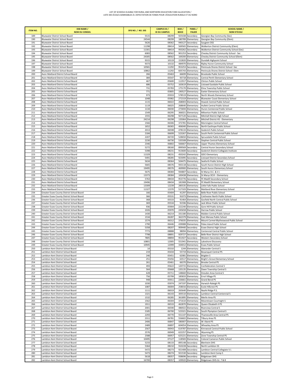| <b>ITEM NO.</b> | <b>DSB NAME /</b><br><b>NOM DU CONSEIL</b>                                               | SFIS NO. / NO. SIIS | <b>CAMPUS ID /</b><br><b>ID DU CAMPUS</b> | <b>BSID/</b><br><b>BDICE</b> | PANEL/<br><b>PALIER</b>                | <b>SCHOOL NAME /</b><br><b>NOM D'ÉCOLE</b>                                       |
|-----------------|------------------------------------------------------------------------------------------|---------------------|-------------------------------------------|------------------------------|----------------------------------------|----------------------------------------------------------------------------------|
| 189             | <b>Bluewater District School Board</b>                                                   | 5515                | 08299                                     |                              | 925438 Secondary                       | Georgian Bay Community (Sec)                                                     |
| 190             | Bluewater District School Board                                                          | 24544               | 08299                                     |                              | 180789 Elementary                      | Georgian Bay Community (Elem)                                                    |
| 191             | <b>Bluewater District School Board</b>                                                   | 5626                | 08362                                     |                              | 940127 Secondary                       | Saugeen DSS                                                                      |
| 192<br>193      | Bluewater District School Board<br>Bluewater District School Board                       | 11298<br>11301      | 08414<br>08414                            |                              | 569565 Elementary<br>950262 Secondary  | Walkerton District Community (Elem)<br>Walkerton District Community School (Sec) |
| 194             | <b>Bluewater District School Board</b>                                                   | 6083                | 08562                                     |                              | 901253 Secondary                       | Chesley District Community School - Sec                                          |
| 195             | <b>Bluewater District School Board</b>                                                   | 24305               | 08562                                     |                              | 169200 Elementary                      | Chesley District Community School (Elem)                                         |
| 196             | Bluewater District School Board                                                          | 9315                | 10119                                     |                              | 152820 Elementary                      | Dundalk Highpoint School                                                         |
| 197             | Bluewater District School Board                                                          | 9373                | 10132                                     |                              | 484970 Elementary                      | Ripley Huron Community School                                                    |
| 198             | <b>Bluewater District School Board</b>                                                   | 10581               | 11292                                     | 953253                       | Secondary                              | Peninsula Shores District School -Sec                                            |
| 199<br>200      | Bluewater District School Board                                                          | 10862<br>266        | 11292                                     |                              | 605743 Elementary<br>66699 Elementary  | Peninsula Shores District School -Elem<br><b>Brookside Public School</b>         |
| 201             | Avon Maitland District School Board<br>Avon Maitland District School Board               | 384                 | 05463<br>05547                            | 93718                        | Elementary                             | Central Perth Elementary School                                                  |
| 202             | Avon Maitland District School Board                                                      | 467                 | 05600                                     |                              | 112917 Elementary                      | Clinton Public School                                                            |
| 203             | Avon Maitland District School Board                                                      | 686                 | 05752                                     |                              | 163619 Elementary                      | Listowel Eastdale Public School                                                  |
| 204             | Avon Maitland District School Board                                                      | 731                 | 05783                                     |                              | 175170 Elementary                      | Elma Township Public School                                                      |
| 205             | Avon Maitland District School Board                                                      | 771                 | 05805                                     |                              | 190527 Elementary                      | <b>Exeter Elementary School</b>                                                  |
| 206<br>207      | Avon Maitland District School Board<br>Avon Maitland District School Board               | 973<br>1048         | 05933<br>05982                            |                              | 578519 Elementary<br>272319 Elementary | North Woods Elementary School<br>Bluewater Coast Elementary School               |
| 208             | Avon Maitland District School Board                                                      | 1115                | 06022                                     |                              | 268003 Elementary                      | Howick Central Public School                                                     |
| 209             | Avon Maitland District School Board                                                      | 1119                | 06025                                     |                              | 268640 Elementary                      | Hullett Central Public School                                                    |
| 210             | Avon Maitland District School Board                                                      | 1134                | 06030                                     |                              | 273694 Elementary                      | Huron Centennial Public School                                                   |
| 211             | Avon Maitland District School Board                                                      | 1549                | 06295                                     |                              | 366021 Elementary                      | Milverton Public School                                                          |
| 212             | Avon Maitland District School Board                                                      | 1555                | 06298                                     |                              | 927120 Secondary                       | Mitchell District High School                                                    |
| 213             | Avon Maitland District School Board                                                      | 24214<br>1566       | 06298                                     |                              | 135064 Elementary                      | Mitchell District HS - Elementary                                                |
| 214<br>215      | Avon Maitland District School Board<br>Avon Maitland District School Board               | 1652                | 06306<br>06365                            |                              | 372781 Elementary<br>406040 Elementary | Mornington Central School<br>North Easthope Public School                        |
| 216             | Avon Maitland District School Board                                                      | 2013                | 06598                                     | 478133                       | Elementary                             | Goderich Public School                                                           |
| 217             | Avon Maitland District School Board                                                      | 2184                | 06699                                     |                              | 523267 Elementary                      | South Perth Centennial Public School                                             |
| 218             | Avon Maitland District School Board                                                      | 2207                | 06720                                     |                              | 528650 Elementary                      | Sprucedale Public School                                                         |
| 219             | Avon Maitland District School Board                                                      | 2230                | 06730                                     |                              | 535508 Elementary                      | Stephen Central Public School                                                    |
| 220             | Avon Maitland District School Board                                                      | 2346                | 06802                                     |                              | 566667 Elementary                      | <b>Upper Thames Elementary School</b>                                            |
| 221<br>222      | Avon Maitland District School Board<br>Avon Maitland District School Board               | 5272<br>5398        | 08160<br>08231                            |                              | 899569 Secondary<br>913600 Secondary   | Central Huron Secondary School<br>Goderich District Collegiate Institute         |
| 223             | Avon Maitland District School Board                                                      | 11329               | 08231                                     |                              | 450242 Elementary                      | <b>GDCI Elementary</b>                                                           |
| 224             | Avon Maitland District School Board                                                      | 5491                | 08285                                     |                              | 923095 Secondary                       | Listowel District Secondary School                                               |
| 225             | Avon Maitland District School Board                                                      | 5634                | 08364                                     |                              | 504475 Elementary                      | Seaforth Public School                                                           |
| 226             | Avon Maitland District School Board                                                      | 5665                | 08376                                     |                              | 943118 Secondary                       | South Huron District High School                                                 |
| 227             | Avon Maitland District School Board                                                      | 19495               | 08376                                     |                              | 469900 Elementary                      | South Huron Elementary School                                                    |
| 228<br>229      | Avon Maitland District School Board<br>Avon Maitland District School Board               | 5675<br>13373       | 08384<br>08384                            | 944807                       | Secondary<br>100438 Elementary         | St Marys D.C. & V.I.<br>St Marys DCVI - Elementary                               |
| 230             | Avon Maitland District School Board                                                      | 5763                | 08434                                     | 953776                       | Secondary                              | FE Madill Secondary School                                                       |
| 231             | Avon Maitland District School Board                                                      | 19496               | 08434                                     |                              | 181908 Elementary                      | FE Madill Elementary School                                                      |
| 232             | Avon Maitland District School Board                                                      | 13309               | 12239                                     |                              | 285535 Elementary                      | Little Falls Public School                                                       |
| 233             | Avon Maitland District School Board                                                      | 11327               | 12370                                     | 517103                       | Elementary                             | Maitland River Elementary School                                                 |
| 234             | Greater Essex County District School Board                                               | 166                 | 05404                                     |                              | 41297 Elementary                       | Belle River Public School                                                        |
| 235             | Greater Essex County District School Board                                               | 366                 | 05531                                     |                              | 91073 Elementary                       | Colchester North Public School                                                   |
| 236<br>237      | Greater Essex County District School Board<br>Greater Essex County District School Board | 368<br>369          | 05533<br>05534                            | 91596                        | 91464 Elementary<br>Elementary         | Gosfield North Central Public School<br>Jack Miner Public School                 |
| 238             | Greater Essex County District School Board                                               | 936                 | 05904                                     |                              | 222240 Elementary                      | Gore Hill Public School                                                          |
| 239             | Greater Essex County District School Board                                               | 1026                | 05970                                     |                              | 245658 Elementary                      | Harrow Public School                                                             |
| 240             | Greater Essex County District School Board                                               | 1430                | 06214                                     |                              | 331180 Elementary                      | Malden Central Public School                                                     |
| 241             | Greater Essex County District School Board                                               | 1534                | 06287                                     |                              | 362379 Elementary                      | East Mersea Public School                                                        |
| 242             | Greater Essex County District School Board                                               | 1574                | 06312                                     |                              | 376035 Elementary                      | Mount Carmel-Blytheswood Public School                                           |
| 243<br>244      | Greater Essex County District School Board<br>Greater Essex County District School Board | 1790<br>5358        | 06446<br>08207                            |                              | 439088 Elementary<br>909440 Secondary  | Pelee Island Public School<br><b>Essex District High School</b>                  |
| 245             | Greater Essex County District School Board                                               | 7773                | 08888                                     |                              | 98094 Elementary                       | Centennial Central Public School                                                 |
| 246             | Greater Essex County District School Board                                               | 7798                | 08891                                     |                              | 929727 Secondary                       | Belle River District High School                                                 |
| 247             | Greater Essex County District School Board                                               | 7805                | 08894                                     | 951927                       | Secondary                              | Western Secondary School                                                         |
| 248             | Greater Essex County District School Board                                               | 10801               | 12005                                     |                              | 551941 Elementary                      | Lakeshore Discovery                                                              |
| 249             | Greater Essex County District School Board                                               | 10945               | 12099                                     |                              | 334012 Elementary                      | <b>Essex Public School</b>                                                       |
| 250<br>251      | Lambton Kent District School Board<br>Lambton Kent District School Board                 | 14<br>219           | 05310<br>05434                            |                              | 1244 Elementary<br>55719 Elementary    | Aberarder Central S                                                              |
| 252             | Lambton Kent District School Board                                                       | 246                 | 05451                                     |                              | 62081 Elementary                       | <b>Bosanquet Central PS</b><br>Brigden S                                         |
| 253             | Lambton Kent District School Board                                                       | 251                 | 05456                                     |                              | 63517 Elementary                       | Bright's Grove Elementary School                                                 |
| 254             | Lambton Kent District School Board                                                       | 261                 | 05461                                     |                              | 66370 Elementary                       | <b>Brooke Central PS</b>                                                         |
| 255             | Lambton Kent District School Board                                                       | 493                 | 05622                                     |                              | 120715 Elementary                      | <b>Confederation Central S</b>                                                   |
| 256             | Lambton Kent District School Board                                                       | 564                 | 05668                                     |                              | 135135 Elementary                      | Dawn Township Central S                                                          |
| 257<br>258      | Lambton Kent District School Board                                                       | 628<br>756          | 05711                                     |                              | 148660 Elementary                      | Dresden Area Central S                                                           |
| 259             | Lambton Kent District School Board<br>Lambton Kent District School Board                 | 948                 | 05799<br>05911                            | 226661                       | 185833 Elementary<br>Elementary        | <b>Errol Village PS</b><br>Grand Bend PS                                         |
| 260             | Lambton Kent District School Board                                                       | 1030                | 05974                                     |                              | 247197 Elementary                      | Harwich-Raleigh PS                                                               |
| 261             | Lambton Kent District School Board                                                       | 1087                | 06004                                     |                              | 258016 Elementary                      | <b>Ecole Hillcrest PS</b>                                                        |
| 262             | Lambton Kent District School Board                                                       | 1111                | 06019                                     |                              | 265640 Elementary                      | Naahii Ridge P.S.                                                                |
| 263             | Lambton Kent District School Board                                                       | 1321                | 06143                                     |                              | 305510 Elementary                      | Lambton Central Centennial S                                                     |
| 264             | Lambton Kent District School Board                                                       | 1532                | 06285                                     |                              | 361895 Elementary                      | Merlin Area PS                                                                   |
| 265<br>266      | Lambton Kent District School Board<br>Lambton Kent District School Board                 | 1562<br>1911        | 06304<br>06533                            |                              | 371610 Elementary<br>462870 Elementary | Mooretown-Courtright S<br>Queen Elizabeth II PS                                  |
| 267             | Lambton Kent District School Board                                                       | 2001                | 06590                                     | 486922                       | Elementary                             | <b>Riverview Central S</b>                                                       |
| 268             | Lambton Kent District School Board                                                       | 2185                | 06700                                     | 523321                       | Elementary                             | South Plympton Central S                                                         |
| 269             | Lambton Kent District School Board                                                       | 2293                | 06770                                     | 551147                       | Elementary                             | Thamesville Area Central PS                                                      |
| 270             | Lambton Kent District School Board                                                       | 2311                | 06781                                     | 556602                       | Elementary                             | Tilbury Area PS                                                                  |
| 271             | Lambton Kent District School Board                                                       | 2406                | 06847                                     |                              | 580007 Elementary                      | W J Baird PS                                                                     |
| 272             | Lambton Kent District School Board                                                       | 2489                | 06897<br>06943                            |                              | 604054 Elementary                      | Wheatley Area PS                                                                 |
| 273<br>274      | Lambton Kent District School Board<br>Lambton Kent District School Board                 | 2567<br>2576        | 06949                                     |                              | 619787 Elementary<br>622257 Elementary | Kinnwood Central Public School<br>Wyoming PS                                     |
| 275             | Lambton Kent District School Board                                                       | 2588                | 06957                                     | 625221                       | Elementary                             | Zone Township Central PS                                                         |
| 276             | Lambton Kent District School Board                                                       | 10495               | 07127                                     |                              | 118583 Elementary                      | Colonel Cameron Public School                                                    |
| 277             | Lambton Kent District School Board                                                       | 5233                | 08133                                     |                              | 895148 Secondary                       | <b>Blenheim DHS</b>                                                              |
| 278             | Lambton Kent District School Board                                                       | 5364                | 08210                                     |                              | 910228 Secondary                       | North Lambton SS                                                                 |
| 279             | Lambton Kent District School Board                                                       | 5472                | 08273                                     |                              | 921408 Secondary                       | Lambton Central Collegiate V.I.                                                  |
| 280<br>281      | Lambton Kent District School Board<br>Lambton Kent District School Board                 | 5473<br>5618        | 08274<br>08357                            |                              | 921530 Secondary<br>938696 Secondary   | Lambton Kent Comp S<br>Ridgetown DHS                                             |
| 282             | Lambton Kent District School Board                                                       | 16700               | 08357                                     |                              | 109920 Elementary                      | Ridgetown DHS-Gr. 7 & 8                                                          |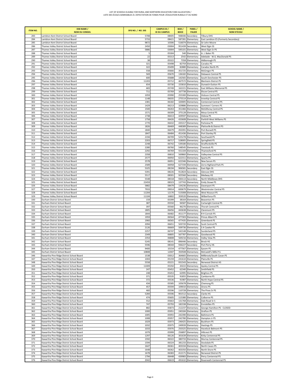| <b>ITEM NO.</b> | <b>DSB NAME /</b><br><b>NOM DU CONSEIL</b>                                             | SFIS NO. / NO. SIIS | <b>CAMPUS ID /</b><br><b>ID DU CAMPUS</b> | BSID/<br><b>BDICE</b> | PANEL/<br><b>PALIER</b>                | <b>SCHOOL NAME /</b><br><b>NOM D'ÉCOLE</b>     |
|-----------------|----------------------------------------------------------------------------------------|---------------------|-------------------------------------------|-----------------------|----------------------------------------|------------------------------------------------|
| 283             | Lambton Kent District School Board                                                     | 5708                | 08405                                     |                       | 948446 Secondary                       | <b>Tilbury DHS</b>                             |
| 284             | Lambton Kent District School Board                                                     | 5733                | 08421                                     |                       | 587281 Elementary                      | East Lambton ES (Formerly Secondary)           |
| 285             | Lambton Kent District School Board                                                     | 9872                | 10306                                     |                       | 516074 Elementary                      | Sir John Moore                                 |
| 286             | Thames Valley District School Board                                                    | 2450                | 03004                                     | 951439                | Secondary                              | West Elgin SS                                  |
| 287             | Thames Valley District School Board                                                    | 5886                | 03004                                     |                       | 595101 Elementary                      | West Elgin Sr PS                               |
| 288<br>289      | Thames Valley District School Board<br>Thames Valley District School Board             | 5<br>22             | 05304<br>05313                            |                       | 540 Elementary<br>2542 Elementary      | A. J. Baker PS<br>Adelaide - W.G. MacDonald PS |
| 290             | Thames Valley District School Board                                                    | 38                  | 05322                                     | 7358                  | Elementary                             | Aldborough PS                                  |
| 291             | Thames Valley District School Board                                                    | 321                 | 05498                                     |                       | 82759 Elementary                       | Caradoc PS                                     |
| 292             | Thames Valley District School Board                                                    | 322                 | 05499                                     |                       | 82880 Elementary                       | Caradoc North PS                               |
| 293             | Thames Valley District School Board                                                    | 558                 | 05666                                     | 351725                | Elementary                             | McGregor PS                                    |
| 294             | Thames Valley District School Board                                                    | 569                 | 05670                                     | 136182                | Elementary                             | Delaware Central PS                            |
| 295             | Thames Valley District School Board                                                    | 600                 | 05688                                     |                       | 142565 Elementary                      | South Dorchester PS                            |
| 296             | Thames Valley District School Board                                                    | 11203               | 05712                                     |                       | 467572 Elementary                      | <b>Blenheim District PS</b>                    |
| 297<br>298      | Thames Valley District School Board<br>Thames Valley District School Board             | 654<br>683          | 05730<br>05749                            |                       | 155810 Elementary<br>162221 Elementary | Dunwich-Dutton PS<br>East Williams Memorial PS |
| 299             | Thames Valley District School Board                                                    | 711                 | 05769                                     |                       | 167738 Elementary                      | <b>Ekcoe Central PS</b>                        |
| 300             | Thames Valley District School Board                                                    | 1059                | 05990                                     |                       | 255300 Elementary                      | <b>Hickson Central PS</b>                      |
| 301             | Thames Valley District School Board                                                    | 1148                | 0603                                      | 275514                | Elementary                             | <b>Innerkip Central PS</b>                     |
| 302             | Thames Valley District School Board                                                    | 1381                | 06182                                     |                       | 320005 Elementary                      | Centennial Central PS                          |
| 303             | Thames Valley District School Board                                                    | 1429                | 06213                                     |                       | 329886 Elementary                      | <b>Summers' Corners PS</b>                     |
| 304             | Thames Valley District School Board                                                    | 1500                | 06263                                     |                       | 351466 Elementary                      | McGillivray Central PS                         |
| 305<br>306      | Thames Valley District School Board                                                    | 1571<br>1738        | 06309<br>06413                            |                       | 375128 Elementary                      | Mosa Central PS                                |
| 307             | Thames Valley District School Board<br>Thames Valley District School Board             | 1758                | 06426                                     |                       | 429597 Elementary<br>433608 Elementary | Oxbow PS<br>Parkhill-West Williams PS          |
| 308             | Thames Valley District School Board                                                    | 1770                | 06432                                     |                       | 435317 Elementary                      | Parkview PS                                    |
| 309             | Thames Valley District School Board                                                    | 1826                | 06469                                     |                       | 448389 Elementary                      | Plattsville & District PS                      |
| 310             | Thames Valley District School Board                                                    | 1840                | 06479                                     |                       | 450391 Elementary                      | Port Burwell PS                                |
| 311             | Thames Valley District School Board                                                    | 1847                | 06484                                     |                       | 451436 Elementary                      | Port Stanley PS                                |
| 312             | Thames Valley District School Board                                                    | 2194                | 06709                                     |                       | 525278 Elementary                      | Southwold PS                                   |
| 313             | Thames Valley District School Board                                                    | 2203                | 06717                                     |                       | 528005 Elementary                      | Springfield PS                                 |
| 314<br>315      | Thames Valley District School Board                                                    | 2248<br>2280        | 06742                                     |                       | 539180 Elementary                      | Straffordville PS                              |
| 316             | Thames Valley District School Board<br>Thames Valley District School Board             | 2292                | 06760<br>06769                            |                       | 548545 Elementary<br>551104 Elementary | Tavistock PS<br>Thamesford PS                  |
| 317             | Thames Valley District School Board                                                    | 2358                | 06810                                     |                       | 569860 Elementary                      | Valleyview Central PS                          |
| 318             | Thames Valley District School Board                                                    | 2577                | 06950                                     |                       | 622311 Elementary                      | Sparta PS                                      |
| 319             | Thames Valley District School Board                                                    | 2578                | 0695                                      |                       | 622346 Elementary                      | New Sarum PS                                   |
| 320             | Thames Valley District School Board                                                    | 2589                | 06958                                     |                       | 627194 Elementary                      | Zorra Highland Park PS                         |
| 321             | Thames Valley District School Board                                                    | 5325                | 08194                                     |                       | 906581 Secondary                       | East Elgin SS                                  |
| 322             | Thames Valley District School Board                                                    | 5391                | 08226                                     |                       | 912824 Secondary                       | Glencoe DHS                                    |
| 323<br>324      | Thames Valley District School Board<br>Thames Valley District School Board             | 5517<br>5548        | 08301<br>08318                            |                       | 925560 Secondary<br>930113 Secondary   | Medway HS<br>North Middlesex DHS               |
| 325             | Thames Valley District School Board                                                    | 22459               | 08323                                     |                       | 137743 Elementary                      | <b>Emily Stowe PS</b>                          |
| 326             | Thames Valley District School Board                                                    | 5882                | 08479                                     |                       | 134236 Elementary                      | Davenport PS                                   |
| 327             | Thames Valley District School Board                                                    | 7933                | 09014                                     |                       | 600679 Elementary                      | Westminster Central PS                         |
| 328             | Thames Valley District School Board                                                    | 11204               | 12170                                     |                       | 515008 Elementary                      | West Nissouri PS                               |
| 329             | Thames Valley District School Board                                                    | 11104               | 16802                                     |                       | 359520 Elementary                      | Wilberforce PS                                 |
| 330             | Durham District School Board                                                           | 159                 | 05399                                     |                       | 38164 Elementary                       | <b>Beaverton PS</b>                            |
| 331<br>332      | Durham District School Board<br>Durham District School Board                           | 387<br>397          | 05550<br>05560                            |                       | 94587 Elementary<br>96270 Elementary   | Cartwright Central PS<br>Thorah Central PS     |
| 333             | Durham District School Board                                                           | 1805                | 06456                                     |                       | 443638 Elementary                      | Claremont PS                                   |
| 334             | Durham District School Board                                                           | 1844                | 06482                                     |                       | 451177 Elementary                      | R H Cornish PS                                 |
| 335             | Durham District School Board                                                           | 1959                | 06564                                     | 477303                | Elementary                             | Prince Albert PS                               |
| 336             | Durham District School Board                                                           | 1960                | 06565                                     |                       | 477435 Elementary                      | Greenbank PS                                   |
| 337             | Durham District School Board                                                           | 2094                | 06651                                     |                       | 503720 Elementary                      | Scott Central PS                               |
| 338             | Durham District School Board                                                           | 2126                | 06669                                     |                       | 509736 Elementary                      | S A Cawker PS                                  |
| 339<br>340      | Durham District School Board<br>Durham District School Board                           | 2257<br>2349        | 06747<br>06805                            | 567787                | 542148 Elementary<br>Elementary        | Sunderland PS<br>Goodwood PS                   |
| 341             | Durham District School Board                                                           | 2354                | 06808                                     |                       | 569216 Elementary                      | Valley View PS                                 |
| 342             | Durham District School Board                                                           | 5245                | 08141                                     |                       | 896446 Secondary                       | <b>Brock HS</b>                                |
| 343             | Durham District School Board                                                           | 5596                | 08344                                     |                       | 936227 Secondary                       | Port Perry HS                                  |
| 344             | Durham District School Board                                                           | 9400                | 10154                                     |                       | 477567 Elementary                      | Epsom PS                                       |
| 345             | Durham District School Board                                                           | 10808               | 12047                                     |                       | 350508 Elementary                      | McCaskill's Mills P.S.                         |
| 346             | Kawartha Pine Ridge District School Board                                              | 1538                | 03012                                     |                       | 364665 Elementary                      | Millbrook/South Cavan PS                       |
| 347<br>348      | Kawartha Pine Ridge District School Board<br>Kawartha Pine Ridge District School Board | 1004<br>5558        | 05159<br>05221                            |                       | 241610 Elementary<br>931543 Secondary  | Plainville PS<br>Norwood District HS           |
| 349             | Kawartha Pine Ridge District School Board                                              | 11009               | 05350                                     |                       | 20222 Elementary                       | Apsley Central PS                              |
| 350             | Kawartha Pine Ridge District School Board                                              | 247                 | 05452                                     |                       | 62340 Elementary                       | Smithfield PS                                  |
| 351             | Kawartha Pine Ridge District School Board                                              | 248                 | 05453                                     | 62995                 | Elementary                             | <b>Brighton PS</b>                             |
| 352             | Kawartha Pine Ridge District School Board                                              | 371                 | 05535                                     |                       | 91855 Elementary                       | Camborne PS                                    |
| 353             | Kawartha Pine Ridge District School Board                                              | 372                 | 05536                                     |                       | 91987 Elementary                       | North Hope Central PS                          |
| 354             | Kawartha Pine Ridge District School Board                                              | 434                 | 05585                                     |                       | 105678 Elementary                      | Chemong PS                                     |
| 355             | Kawartha Pine Ridge District School Board                                              | 457                 | 05594                                     |                       | 109010 Elementary                      | Orono PS                                       |
| 356<br>357      | Kawartha Pine Ridge District School Board<br>Kawartha Pine Ridge District School Board | 460<br>5284         | 05596<br>05596                            |                       | 110728 Elementary<br>901512 Secondary  | The Pines Sr PS<br>Clarke HS                   |
| 358             | Kawartha Pine Ridge District School Board                                              | 474                 | 05605                                     |                       | 115380 Elementary                      | Colborne PS                                    |
| 359             | Kawartha Pine Ridge District School Board                                              | 552                 | 05663                                     |                       | 131768 Elementary                      | Dale Road Sr S                                 |
| 360             | Kawartha Pine Ridge District School Board                                              | 747                 | 05793                                     |                       | 182338 Elementary                      | Enniskillen PS                                 |
| 361             | Kawartha Pine Ridge District School Board                                              | 882                 | 05873                                     |                       | 212237 Elementary                      | George Hamilton PS - CLOSED                    |
| 362             | Kawartha Pine Ridge District School Board                                              | 1000                | 05951                                     |                       | 240184 Elementary                      | Grafton PS                                     |
| 363             | Kawartha Pine Ridge District School Board                                              | 1005<br>1008        | 05955                                     |                       | 242390 Elementary                      | <b>Baltimore PS</b>                            |
| 364<br>365      | Kawartha Pine Ridge District School Board<br>Kawartha Pine Ridge District School Board | 1029                | 05957<br>05973                            |                       | 242780 Elementary<br>246425 Elementary | Hampton Jr PS<br><b>Buckhorn PS</b>            |
| 366             | Kawartha Pine Ridge District School Board                                              | 1032                | 05975                                     |                       | 249939 Elementary                      | Hastings PS                                    |
| 367             | Kawartha Pine Ridge District School Board                                              | 1033                | 05976                                     |                       | 250325 Elementary                      | Havelock-Belmont PS                            |
| 368             | Kawartha Pine Ridge District School Board                                              | 1079                | 05999                                     |                       | 256897 Elementary                      | Hillcrest PS                                   |
| 369             | Kawartha Pine Ridge District School Board                                              | 1297                | 06126                                     |                       | 301639 Elementary                      | Kirby Centennial PS                            |
| 370             | Kawartha Pine Ridge District School Board                                              | 1592                | 06322                                     |                       | 380733 Elementary                      | Murray Centennial PS                           |
| 371             | Kawartha Pine Ridge District School Board                                              | 1594                | 06324                                     |                       | 381233 Elementary                      | Stockdale PS                                   |
| 372<br>373      | Kawartha Pine Ridge District School Board                                              | 1647<br>1648        | 06361<br>06362                            |                       | 403334 Elementary<br>403350 Elementary | North Cavan PS                                 |
| 374             | Kawartha Pine Ridge District School Board<br>Kawartha Pine Ridge District School Board | 1678                | 06383                                     |                       | 412171 Elementary                      | North Shore PS<br>Norwood District PS          |
| 375             | Kawartha Pine Ridge District School Board                                              | 1794                | 06448                                     |                       | 439983 Elementary                      | Percy Centennial PS                            |
| 376             | Kawartha Pine Ridge District School Board                                              | 2042                | 06619                                     |                       | 491632 Elementary                      | Roseneath Centennial PS                        |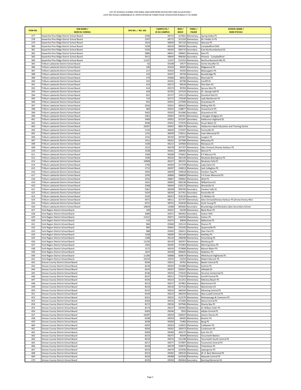| <b>ITEM NO.</b> | <b>DSB NAME /</b><br><b>NOM DU CONSEIL</b>                                             | SFIS NO. / NO. SIIS | <b>CAMPUS ID /</b><br><b>ID DU CAMPUS</b> | BSID/<br><b>BDICE</b> | PANEL/<br><b>PALIER</b>               | <b>SCHOOL NAME /</b><br><b>NOM D'ÉCOLE</b>                       |
|-----------------|----------------------------------------------------------------------------------------|---------------------|-------------------------------------------|-----------------------|---------------------------------------|------------------------------------------------------------------|
| 377             | Kawartha Pine Ridge District School Board                                              | 2200                | 06714                                     | 527661                | Elementary                            | Spring Valley PS                                                 |
| 378             | Kawartha Pine Ridge District School Board                                              | 2297                | 06772                                     | 551333                | Elementary                            | M J Hobbs Sr PS                                                  |
| 379<br>380      | Kawartha Pine Ridge District School Board                                              | 2424<br>5258        | 06859<br>08150                            | 587150<br>898260      | Elementary                            | Warsaw PS<br>Campbellford DHS                                    |
| 381             | Kawartha Pine Ridge District School Board<br>Kawartha Pine Ridge District School Board | 5326                | 08195                                     |                       | Secondary<br>906719 Secondary         | East Northumberland SS                                           |
| 382             | Kawartha Pine Ridge District School Board                                              | 5806                | 08451                                     | 289841                | Elementary                            | Kent PS                                                          |
| 383             | Kawartha Pine Ridge District School Board                                              | 5911                | 08495                                     | 898260                | Secondary                             | Phoenix - Campbellford                                           |
| 384             | Kawartha Pine Ridge District School Board                                              | 11107               | 12237                                     | 515252                | Elementary                            | Northumberland Hills PS                                          |
| 385             | Trillium Lakelands District School Board                                               | 82                  | 05348                                     | 19577                 | Elementary                            | Archie Stouffer ES                                               |
| 386             | Trillium Lakelands District School Board                                               | 190                 | 05419                                     | 48305                 | Elementary                            | Ridgewood PS                                                     |
| 387<br>388      | Trillium Lakelands District School Board<br>Trillium Lakelands District School Board   | 217<br>223          | 05433<br>05437                            | 55450<br>56758        | Elementary<br>Elementary              | Bobcaygeon PS<br><b>Bracebridge PS</b>                           |
| 389             | Trillium Lakelands District School Board                                               | 274                 | 05466                                     | 68454                 | Elementary                            | <b>Riverside PS</b>                                              |
| 390             | Trillium Lakelands District School Board                                               | 325                 | 05501                                     | 83798                 | Elementary                            | Cardiff ES                                                       |
| 391             | Trillium Lakelands District School Board                                               | 413                 | 05572                                     | 99520                 | Elementary                            | Pine Glen PS                                                     |
| 392             | Trillium Lakelands District School Board                                               | 414                 | 05573                                     | 99783                 | Elementary                            | Spruce Glen PS                                                   |
| 393<br>394      | Trillium Lakelands District School Board<br>Trillium Lakelands District School Board   | 618<br>651          | 05702                                     | 147524<br>154113      | Elementary<br>Elementary              | Dr. George Hall PS                                               |
| 395             | Trillium Lakelands District School Board                                               | 714                 | 05727<br>05772                            | 170240                | Elementary                            | Dunsford Dist ES<br>Lady MacKenzie PS                            |
| 396             | Trillium Lakelands District School Board                                               | 952                 | 05915                                     | 227099                | Elementary                            | Grandview PS                                                     |
| 397             | Trillium Lakelands District School Board                                               | 2026                | 05915                                     | 489425                | Elementary                            | Rolling Hills PS                                                 |
| 398             | Trillium Lakelands District School Board                                               | 960                 | 05923                                     | 228877                | Elementary                            | Gravenhurst PS                                                   |
| 399             | Trillium Lakelands District School Board                                               | 5402                | 05923                                     | 914380                | Secondary                             | Gravenhurst HS                                                   |
| 400             | Trillium Lakelands District School Board                                               | 1001                | 05952                                     | 240761                | Elementary                            | J Douglas Hodgson ES                                             |
| 401<br>402      | Trillium Lakelands District School Board<br>Frillium Lakelands District School Board   | 5409<br>9548        | 05952<br>05952                            | 915297<br>575976      | Secondary<br>Elementary               | <b>Haliburton Highland SS</b><br><b>Stuart Baker ES</b>          |
| 403             | Trillium Lakelands District School Board                                               | 24207               | 05952                                     |                       | 890170 Secondary                      | Haliburton Adult Education and Training Centre                   |
| 404             | Trillium Lakelands District School Board                                               | 1133                | 06029                                     | 273597                | Elementary                            | Huntsville PS                                                    |
| 405             | Trillium Lakelands District School Board                                               | 1155                | 06039                                     | 278211                | Elementary                            | Irwin Memorial PS                                                |
| 406             | Trillium Lakelands District School Board                                               | 1331                | 06150                                     | 307947                | Elementary                            | Langton PS                                                       |
| 407             | Trillium Lakelands District School Board                                               | 1411                | 06201                                     | 327280                | Elementary                            | Macaulay PS                                                      |
| 408<br>409      | Trillium Lakelands District School Board                                               | 1428                | 06212                                     | 329460                | Elementary                            | Mariposa ES                                                      |
| 410             | Trillium Lakelands District School Board<br>Trillium Lakelands District School Board   | 1522<br>1558        | 06278<br>06301                            | 357707<br>368946      | Elementary<br>Elementary              | Glen Orchard /Honey Harbour PS<br>Monck PS                       |
| 411             | Trillium Lakelands District School Board                                               | 1569                | 06308                                     | 374601                | Elementary                            | K P Manson PS                                                    |
| 412             | Trillium Lakelands District School Board                                               | 1596                | 06326                                     | 382140                | Elementary                            | Muskoka Beechgrove PS                                            |
| 413             | Trillium Lakelands District School Board                                               | 10908               | 06327                                     | 382191                | Elementary                            | Muskoka Falls PS                                                 |
| 414             | Trillium Lakelands District School Board                                               | 1704                | 06393                                     |                       | 417378 Elementary                     | Lady Eaton ES                                                    |
| 415             | Trillium Lakelands District School Board                                               | 1712                | 06397                                     | 418013                | Elementary                            | Jack Callaghan PS                                                |
| 416             | Trillium Lakelands District School Board                                               | 2092                | 06649                                     | 194018                | Elementary                            | Fenelon Twp PS                                                   |
| 417<br>418      | Trillium Lakelands District School Board<br>Trillium Lakelands District School Board   | 2350<br>2433        | 06806<br>06867                            | 568694<br>590002      | Elementary<br>Elementary              | V K Greer Memorial PS<br>Watt PS                                 |
| 419             | Trillium Lakelands District School Board                                               | 2501                | 06903                                     |                       | 606138 Elementary                     | Wilberforce ES                                                   |
| 420             | Trillium Lakelands District School Board                                               | 2568                | 06944                                     | 620173                | Elementary                            | Woodville ES                                                     |
| 421             | Trillium Lakelands District School Board                                               | 5361                | 08208                                     | 909700                | Secondary                             | Fenelon Falls SS                                                 |
| 422             | Trillium Lakelands District School Board                                               | 5429                | 08250                                     | 917761                | Secondary                             | Huntsville HS                                                    |
| 423             | Trillium Lakelands District School Board                                               | 5433                | 08253                                     | 918130                | Secondary                             | I E Weldon SS                                                    |
| 424             | Trillium Lakelands District School Board                                               | 5971                | 08511                                     | 357707                | Elementary                            | Glen Orchard/Honey Harbour PS (Annex Honey Hbr)                  |
| 425<br>426      | Trillium Lakelands District School Board<br>Trillium Lakelands District School Board   | 6372<br>10829       | 08702<br>12008                            | 895660                | 503630 Elementary<br>Secondary        | Scott Young PS<br>Bracebridge and Muskoka Lakes Secondary School |
| 427             | York Region District School Board                                                      | 199                 | 05021                                     | 50199                 | Elementary                            | <b>Black River PS</b>                                            |
| 428             | York Region District School Board                                                      | 5689                | 05071                                     | 946362                | Secondary                             | <b>Sutton DHS</b>                                                |
| 429             | York Region District School Board                                                      | 11521               | 05071                                     | 544256                | Elementary                            | Sutton PS                                                        |
| 430             | York Region District School Board                                                      | 119                 | 05373                                     | 30694                 | Elementary                            | <b>Ballantrae PS</b>                                             |
| 431             | York Region District School Board                                                      | 984<br>985          | 05940                                     | 235113                | Elementary                            | Sharon PS                                                        |
| 432<br>433      | York Region District School Board<br>York Region District School Board                 | 988                 | 05941<br>05942                            | 235245<br>236411      | Elementary<br>Elementary              | Queensville PS<br>Deer Park PS                                   |
| 434             | York Region District School Board                                                      | 1258                | 06099                                     | 291145                | Elementary                            | Kettleby PS                                                      |
| 435             | York Region District School Board                                                      | 1288                | 06120                                     | 298298                | Elementary                            | Schomberg PS                                                     |
| 436             | York Region District School Board                                                      | 11235               | 06129                                     | 302457                | Elementary                            | Kleinburg PS                                                     |
| 437             | York Region District School Board                                                      | 1565                | 06305                                     |                       | 372463 Elementary                     | Morning Glory PS                                                 |
| 438             | York Region District School Board                                                      | 1572                | 06310                                     |                       | 375896 Elementary                     | Mount Albert PS                                                  |
| 439             | York Region District School Board                                                      | 1637<br>11296       | 06358                                     |                       | 400645 Elementary<br>Elementary       | Nobleton PS<br>Whitchurch Highlands PS                           |
| 440<br>441      | York Region District School Board<br>York Region District School Board                 | 24233               | 06898<br>19225                            | 604674<br>52254       | Elementary                            | Robert Munsch PS                                                 |
| 442             | Simcoe County District School Board                                                    | 8194                | 03013                                     | 34762                 | Elementary                            | <b>Baxter Central PS</b>                                         |
| 443             | Simcoe County District School Board                                                    | 8139                | 09203                                     | 233480                | Elementary                            | <b>Guthrie PS</b>                                                |
| 444             | Simcoe County District School Board                                                    | 8143                | 09207                                     | 595047                | Elementary                            | Hillsdale ES                                                     |
| 445             | Simcoe County District School Board                                                    | 8146                | 09210                                     | 274542                | Elementary                            | Huronia Centennial ES                                            |
| 446<br>447      | Simcoe County District School Board<br>Simcoe County District School Board             | 8147<br>8150        | 09211<br>09214                            | 275670<br>311251      | Elementary                            | Innisfil Central PS<br>Killarney Beach PS                        |
| 448             | Simcoe County District School Board                                                    | 8153                | 09217                                     | 337862                | Elementary<br>Elementary              | Marchmont PS                                                     |
| 449             | Simcoe County District School Board                                                    | 8154                | 09218                                     | 357316                | Elementary                            | <b>Warminster ES</b>                                             |
| 450             | Simcoe County District School Board                                                    | 8155                | 09219                                     |                       | 366544 Elementary                     | Minesing Central PS                                              |
| 451             | Simcoe County District School Board                                                    | 8159                | 09223                                     | 384259                | Elementary                            | New Lowell Central PS                                            |
| 452             | Simcoe County District School Board                                                    | 8161                | 09225                                     | 412570                | Elementary                            | Nottawasaga & Creemore PS                                        |
| 453             | Simcoe County District School Board                                                    | 8169                | 09233                                     |                       | 472360 Elementary                     | Rama Central PS                                                  |
| 454<br>455      | Simcoe County District School Board<br>Simcoe County District School Board             | 8172<br>8173        | 09236<br>09237                            | 507946<br>595993      | Elementary<br>Elementary              | Shanty Bay PS<br>Sir William Osler PS                            |
| 456             | Simcoe County District School Board                                                    | 8183                | 09246                                     | 2933                  | Elementary                            | Adjala Central PS                                                |
| 457             | Simcoe County District School Board                                                    | 24397               | 09254                                     | 636037                | Elementary                            | Severn Shores PS                                                 |
| 458             | Simcoe County District School Board                                                    | 8198                | 09259                                     | 60445                 | Elementary                            | <b>Brechin PS</b>                                                |
| 459             | Simcoe County District School Board                                                    | 8199                | 09260                                     | 71960                 | Elementary                            | Byng PS                                                          |
| 460             | Simcoe County District School Board                                                    | 8202                | 09263                                     | 116815                | Elementary                            | Coldwater PS                                                     |
| 461             | Simcoe County District School Board                                                    | 8204                | 09265                                     | 185973                | Elementary                            | Cookstown PS                                                     |
| 462<br>463      | Simcoe County District School Board<br>Simcoe County District School Board             | 8209<br>8215        | 09269<br>09275                            | 160172<br>40509       | Elementary<br>Elementary              | East Oro PS<br><b>Tecumseth Beeton</b>                           |
| 464             | Simcoe County District School Board                                                    | 8216                | 09276                                     |                       | 521248 Elementary                     | Tecumseth South Central PS                                       |
| 465             | Simcoe County District School Board                                                    | 8217                | 09277                                     | 557897                | Elementary                            | <b>Tosorontio Central PS</b>                                     |
| 466             | Simcoe County District School Board                                                    | 8218                | 09278                                     | 559075                | Elementary                            | Tottenham PS                                                     |
| 467             | Simcoe County District School Board                                                    | 8219                | 09279                                     |                       | 337030 Elementary                     | Uptergrove PS                                                    |
| 468             | Simcoe County District School Board                                                    | 8223                | 09282                                     | 580520                | Elementary                            | W. R. Best Memorial PS                                           |
| 469<br>470      | Simcoe County District School Board<br>Simcoe County District School Board             | 8229<br>8235        | 09288<br>09294                            |                       | 622028 Elementary<br>893064 Secondary | Wyevale Central PS<br><b>Banting Memorial HS</b>                 |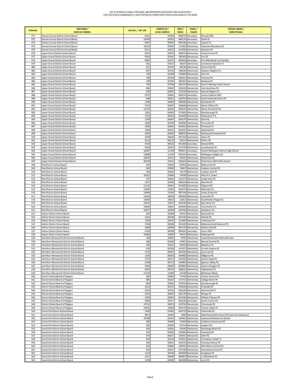| <b>ITEM NO.</b> | <b>DSB NAME /</b><br><b>NOM DU CONSEIL</b>                                           | SFIS NO. / NO. SIIS | <b>CAMPUS ID /</b><br><b>ID DU CAMPUS</b> | <b>BSID/</b><br><b>BDICE</b> | PANEL/<br><b>PALIER</b>                | <b>SCHOOL NAME /</b><br><b>NOM D'ÉCOLE</b>                        |
|-----------------|--------------------------------------------------------------------------------------|---------------------|-------------------------------------------|------------------------------|----------------------------------------|-------------------------------------------------------------------|
| 471             | Simcoe County District School Board                                                  | 8241                | 09300                                     |                              | 908274 Secondary                       | Elmvale DHS                                                       |
| 472             | Simcoe County District School Board                                                  | 24369               | 09303                                     |                              | 968729 Secondary                       | Orillia SS                                                        |
| 473             | Simcoe County District School Board                                                  | 8247                | 09305                                     |                              | 945196 Secondary                       | Stayner CI                                                        |
| 474<br>475      | Simcoe County District School Board<br>Simcoe County District School Board           | 10123<br>8271       | 09305<br>09321                            |                              | 111465 Elementary<br>412430 Elementary | Clearview Meadows ES<br>Nottawa PS                                |
| 476             | Upper Grand District School Board                                                    | 5531                | 05073                                     | 460015                       | Elementary                             | Victoria Cross PS                                                 |
| 477             | Upper Grand District School Board                                                    | 5353                | 05181                                     | 185582                       | Elementary                             | Erin PS                                                           |
| 478             | Upper Grand District School Board                                                    | 9987                | 05227                                     |                              | 909050 Secondary                       | Erin DHS (Multi-Use Facility)                                     |
| 479             | Upper Grand District School Board                                                    | 361                 | 05527                                     |                              | 90247 Elementary                       | Centennial Hylands E S                                            |
| 480<br>481      | Upper Grand District School Board<br>Upper Grand District School Board               | 411<br>627          | 05570<br>05710                            |                              | 99139 Elementary<br>148539 Elementary  | Centre Peel PS<br>Drayton Heights P.S.                            |
| 482             | Upper Grand District School Board                                                    | 739                 | 05789                                     |                              | 178969 Elementary                      | Elora PS                                                          |
| 483             | Upper Grand District School Board                                                    | 748                 | 05794                                     | 184411                       | Elementary                             | Eramosa PS                                                        |
| 484             | Upper Grand District School Board                                                    | 749                 | 05795                                     |                              | 185191 Elementary                      | <b>Brisbane PS</b>                                                |
| 485<br>486      | Upper Grand District School Board<br>Upper Grand District School Board               | 750<br>866          | 05796<br>05863                            |                              | 185329 Elementary<br>208310 Elementary | Ross R. MacKay Public School<br>East Garafraxa PS                 |
| 487             | Upper Grand District School Board                                                    | 939                 | 05905                                     |                              | 223735 Elementary                      | <b>Hyland Heights E S</b>                                         |
| 488             | Upper Grand District School Board                                                    | 5275                | 05905                                     | 900214                       | Secondary                              | Centre Dufferin DHS                                               |
| 489             | Upper Grand District School Board                                                    | 949                 | 05912                                     |                              | 226793 Elementary                      | Grand Valley & District PS                                        |
| 490             | Upper Grand District School Board                                                    | 1248                | 06093                                     |                              | 289060 Elementary                      | Kenilworth PS                                                     |
| 491<br>492      | Upper Grand District School Board<br>Upper Grand District School Board               | 1553<br>11135       | 06297<br>06302                            |                              | 366668 Elementary<br>369535 Elementary | Minto-Clifford PS<br>Mono-Amaranth PS                             |
| 493             | Upper Grand District School Board                                                    | 1561                | 06303                                     |                              | 371483 Elementary                      | Maryborough PS                                                    |
| 494             | Upper Grand District School Board                                                    | 1752                | 06423                                     |                              | 432458 Elementary                      | Palmerston P.S.                                                   |
| 495             | Upper Grand District School Board                                                    | 1789                | 06445                                     |                              | 438170 Elementary                      | Alma PS                                                           |
| 496<br>497      | Upper Grand District School Board<br>Upper Grand District School Board               | 1838<br>1856        | 06478<br>06491                            |                              | 450006 Elementary<br>452491 Elementary | Ponsonby PS<br>Primrose E S                                       |
| 498             | Upper Grand District School Board                                                    | 1899                | 06524                                     | 461059                       | Elementary                             | Aberfoyle PS                                                      |
| 499             | Upper Grand District School Board                                                    | 2020                | 06603                                     |                              | 488879 Elementary                      | Rockwood Centennial PS                                            |
| 500             | Upper Grand District School Board                                                    | 2078                | 06639                                     |                              | 497193 Elementary                      | Salem PS                                                          |
| 501             | Upper Grand District School Board                                                    | 5213                | 08124                                     |                              | 24252 Elementary                       | <b>Arthur PS</b>                                                  |
| 502<br>503      | Upper Grand District School Board                                                    | 5556<br>9432        | 08322                                     |                              | 931284 Secondary                       | Norwell DHS                                                       |
| 504             | Upper Grand District School Board<br>Upper Grand District School Board               | 10487               | 10167<br>11128                            |                              | 311316 Elementary<br>909831 Secondary  | Laurelwoods ES<br>Centre Wellington District High School          |
| 505             | Upper Grand District School Board                                                    | 10488               | 11129                                     | 953555                       | Secondary                              | <b>Wellington Heights SS</b>                                      |
| 506             | Upper Grand District School Board                                                    | 24035               | 19157                                     |                              | 96502 Elementary                       | Glenbrook ES                                                      |
| 507             | Upper Grand District School Board                                                    | 24218               | 19210                                     |                              | 506264 Elementary                      | École Harris Mill Public School                                   |
| 508             | Peel District School Board                                                           | 164                 | 05402                                     | 40762                        | Elementary                             | Belfountain PS                                                    |
| 509<br>510      | Peel District School Board<br>Peel District School Board                             | 302<br>303          | 05484<br>05485                            |                              | 74047 Elementary<br>74179 Elementary   | Caledon Central PS<br>Caledon East PS                             |
| 511             | Peel District School Board                                                           | 24322               | 05486                                     |                              | 74438 Elementary                       | Alton P.S. (new)                                                  |
| 512             | Peel District School Board                                                           | 527                 | 05647                                     | 127477                       | Elementary                             | Credit View PS                                                    |
| 513             | Peel District School Board                                                           | 1417                | 06204                                     |                              | 328324 Elementary                      | Macville PS                                                       |
| 514             | Peel District School Board                                                           | 11132               | 06421                                     |                              | 431966 Elementary                      | Palgrave PS                                                       |
| 515             | Peel District School Board                                                           | 12605               | 12282                                     | 426375                       | Elementary                             | Eldorado P.S.                                                     |
| 516<br>517      | Peel District School Board                                                           | 14009<br>14544      | 12283                                     |                              | 587234 Elementary                      | James Grieve PS                                                   |
| 518             | Peel District School Board<br>Peel District School Board                             | 14546               | 18030<br>18032                            |                              | 499344 Elementary<br>31851 Elementary  | Lorenville PS<br>SouthFields Village P.S.                         |
| 519             | Peel District School Board                                                           | 24225               | 19217                                     |                              | 493318 Elementary                      | Ross Drive P.S.                                                   |
| 520             | Peel District School Board                                                           | 24295               | 19287                                     |                              | 267840 Elementary                      | Churchville P.S.                                                  |
| 521             | Peel District School Board                                                           | 24377               | 19378                                     |                              | 503560 Elementary                      | Aylesbury P.S.                                                    |
| 522             | Halton District School Board                                                         | 267                 | 05464                                     |                              | 66761 Elementary                       | <b>Brookville PS</b>                                              |
| 523<br>524      | Halton District School Board<br><b>Halton District School Board</b>                  | 1261<br>1358        | 06100<br>06164                            |                              | 291536 Elementary<br>312460 Elementary | Kilbride PS<br>Limehouse PS                                       |
| 525             | <b>Halton District School Board</b>                                                  | 1506                | 06266                                     |                              | 353183 Elementary                      | McKenzie-Smith Bennett PS                                         |
| 526             | <b>Halton District School Board</b>                                                  | 2009                | 06596                                     |                              | 487570 Elementary                      | Robert Little PS                                                  |
| 527             | Halton District School Board                                                         | 5190                | 08109                                     |                              | 890332 Secondary                       | <b>Acton DHS</b>                                                  |
| 528             | Halton District School Board                                                         | 24384               | 19385                                     |                              | 76727 Elementary                       | Oodenawi PS                                                       |
| 529<br>530      | Hamilton-Wentworth District School Board<br>Hamilton-Wentworth District School Board | 168<br>186          | 05405<br>05418                            | 8795                         | Elementary                             | Ecole Elementaire Michaelle Jean<br><b>Beverly Central PS</b>     |
| 531             | Hamilton-Wentworth District School Board                                             | 202                 | 05425                                     |                              | 47961 Elementary<br>50415 Elementary   | Balaclava PS                                                      |
| 532             | Hamilton-Wentworth District School Board                                             | 616                 | 05700                                     |                              | 147427 Elementary                      | Dr John Seaton PS                                                 |
| 533             | Hamilton-Wentworth District School Board                                             | 1176                | 06051                                     |                              | 281026 Elementary                      | Janet Lee PS                                                      |
| 534             | Hamilton-Wentworth District School Board                                             | 1543                | 06292                                     |                              | 364983 Elementary                      | Millgrove PS                                                      |
| 535             | Hamilton-Wentworth District School Board                                             | 1579                | 06315                                     |                              | 376299 Elementary                      | Mount Hope PS                                                     |
| 536<br>537      | Hamilton-Wentworth District School Board<br>Hamilton-Wentworth District School Board | 2198<br>6343        | 06713<br>08683                            |                              | 526983 Elementary<br>465860 Elementary | Spencer Valley PS<br>Queens Rangers PS                            |
| 538             | Hamilton-Wentworth District School Board                                             | 6502                | 08752                                     |                              | 548022 Elementary                      | Tapleytown PS                                                     |
| 539             | Hamilton-Wentworth District School Board                                             | 11519               | 12289                                     |                              | 41548 Elementary                       | Bellmoore (New)                                                   |
| 540             | District School Board of Niagara                                                     | 300                 | 05482                                     |                              | 73784 Elementary                       | Caistor Central PS                                                |
| 541             | District School Board of Niagara                                                     | 485                 | 05615                                     | 117722                       | Elementary                             | College Street PS                                                 |
| 542             | District School Board of Niagara                                                     | 864                 | 05862                                     |                              | 207810 Elementary                      | Gainsborough PS                                                   |
| 543<br>544      | District School Board of Niagara<br>District School Board of Niagara                 | 2213<br>2235        | 06722<br>06733                            |                              | 529648 Elementary<br>536636 Elementary | St Davids PS<br>Stevensville PS                                   |
| 545             | District School Board of Niagara                                                     | 2410                | 06850                                     |                              | 581178 Elementary                      | Winger PS                                                         |
| 546             | District School Board of Niagara                                                     | 2505                | 06905                                     |                              | 607436 Elementary                      | William E Brown PS                                                |
| 547             | District School Board of Niagara                                                     | 5666                | 08377                                     |                              | 943240 Secondary                       | South Lincoln HS                                                  |
| 548             | District School Board of Niagara                                                     | 15715               | 18074                                     |                              | 235750 Elementary                      | Crossroads PS                                                     |
| 549<br>550      | District School Board of Niagara                                                     | 24342<br>1650       | 19340<br>05003                            |                              | 254519 Elementary<br>403725 Elementary | Twenty Valley PS                                                  |
| 551             | Grand Erie District School Board<br>Grand Erie District School Board                 | 9873                | 05163                                     | 1899                         | Elementary                             | Teeterville PS<br>Waterford Public School (formely A.B. Massecar) |
| 552             | Grand Erie District School Board                                                     | 10198               | 05224                                     | 145602                       | Elementary                             | Lakewood Elementary School                                        |
| 553             | Grand Erie District School Board                                                     | 306                 | 05488                                     |                              | 75604 Elementary                       | Caledonia Centennial PS                                           |
| 554             | Grand Erie District School Board                                                     | 402                 | 05564                                     |                              | 97314 Elementary                       | Langton PS                                                        |
| 555             | Grand Erie District School Board                                                     | 403                 | 05565                                     |                              | 97446 Elementary                       | Onondaga-Brant PS                                                 |
| 556<br>557      | Grand Erie District School Board                                                     | 524<br>570          | 05644                                     |                              | 126306 Elementary                      | Courtland PS<br>Delhi PS                                          |
| 558             | Grand Erie District School Board<br>Grand Erie District School Board                 | 650                 | 05671<br>05726                            | 136441                       | Elementary<br>153931 Elementary        | Thompson Creek E S                                                |
| 559             | Grand Erie District School Board                                                     | 783                 | 05811                                     |                              | 192341 Elementary                      | Fairview Avenue PS                                                |
| 560             | Grand Erie District School Board                                                     | 923                 | 05895                                     |                              | 220035 Elementary                      | Glen Morris Central PS                                            |
| 561             | Grand Erie District School Board                                                     | 954                 | 05917                                     |                              | 227196 Elementary                      | <b>Grandview Central PS</b>                                       |
| 562             | Grand Erie District School Board                                                     | 1110                | 06018                                     | 265608                       | Elementary                             | Houghton PS                                                       |
| 563<br>564      | Grand Erie District School Board<br>Grand Erie District School Board                 | 1167<br>1190        | 06046<br>06060                            |                              | 280097 Elementary<br>282308 Elementary | J L Mitchener PS<br>Jarvis PS                                     |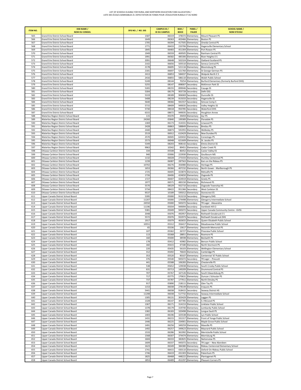| <b>ITEM NO.</b> | <b>DSB NAME /</b><br><b>NOM DU CONSEIL</b>                                     | SFIS NO. / NO. SIIS | <b>CAMPUS ID /</b><br><b>ID DU CAMPUS</b> | BSID/<br><b>BDICE</b> | PANEL/<br><b>PALIER</b>                | <b>SCHOOL NAME /</b><br><b>NOM D'ÉCOLE</b>                            |
|-----------------|--------------------------------------------------------------------------------|---------------------|-------------------------------------------|-----------------------|----------------------------------------|-----------------------------------------------------------------------|
| 565             | Grand Erie District School Board                                               | 1587                | 06319                                     |                       | 378372 Elementary                      | Mount Pleasant PS                                                     |
| 566             | Grand Erie District School Board                                               | 1649                | 06363                                     |                       | 403466 Elementary                      | <b>Boston PS</b>                                                      |
| 567<br>568      | Grand Erie District School Board<br>Grand Erie District School Board           | 1705<br>1771        | 06394<br>06433                            | 417505<br>233706      | Elementary<br>Elementary               | Oneida Central PS<br>Hagersville Elementary School                    |
| 569             | Grand Erie District School Board                                               | 1845                | 06483                                     | 451304                | Elementary                             | Port Rowan PS                                                         |
| 570             | Grand Erie District School Board                                               | 1949                | 06559                                     | 469505                | Elementary                             | Rainham Central PS                                                    |
| 571             | Grand Erie District School Board                                               | 1991                | 06582                                     |                       | 485306 Elementary                      | River Heights E S                                                     |
| 572             | Grand Erie District School Board                                               | 2091                | 06648                                     | 502324                | Elementary                             | Oakland-Scotland PS                                                   |
| 573             | Grand Erie District School Board                                               | 2102                | 06656                                     |                       | 505510 Elementary                      | Seneca Central PS                                                     |
| 574             | Grand Erie District School Board                                               | 2178                | 06695                                     |                       | 521116 Elementary                      | <b>Bloomsburg PS</b>                                                  |
| 575<br>576      | Grand Erie District School Board<br>Grand Erie District School Board           | 2181<br>2413        | 06697<br>06853                            |                       | 521760 Elementary<br>584037 Elementary | St George-German PS<br>Walpole North E S                              |
| 577             | Grand Erie District School Board                                               | 2416                | 06855                                     |                       | 586110 Elementary                      | Walsh Public School                                                   |
| 578             | Grand Erie District School Board                                               | 5249                | 08144                                     | 70254                 | Elementary                             | Burford Elementary (formerly Burford DHS)                             |
| 579             | Grand Erie District School Board                                               | 5255                | 08147                                     | 898007                | Secondary                              | McKinnon Park SS                                                      |
| 580             | Grand Erie District School Board                                               | 5265                | 08155                                     |                       | 899046 Secondary                       | Cayuga SS                                                             |
| 581             | Grand Erie District School Board                                               | 5304                | 08179                                     | 903728                | Secondary                              | Delhi DSS                                                             |
| 582<br>583      | Grand Erie District School Board<br>Grand Erie District School Board           | 5319<br>5408        | 08189<br>08239                            | 906069<br>915033      | Secondary<br>Secondary                 | Dunnville SS<br><b>Hagersville SS</b>                                 |
| 584             | Grand Erie District School Board                                               | 5640                | 08366                                     | 941557                | Secondary                              | Simcoe Comp S                                                         |
| 585             | Grand Erie District School Board                                               | 5715                | 08409                                     | 949035                | Secondary                              | Valley Heights SS                                                     |
| 586             | Grand Erie District School Board                                               | 5730                | 08418                                     | 950785                | Secondary                              | Waterford DHS                                                         |
| 587             | Grand Erie District School Board                                               | 6315                | 08672                                     | 949035                | Secondary                              | <b>Houghton Annex</b>                                                 |
| 588             | Waterloo Region District School Board                                          | 115                 | 05370                                     | 29459                 | Elementary                             | Ayr PS                                                                |
| 589             | Waterloo Region District School Board                                          | 24260               | 05840                                     | 199389                | Elementary                             | Floradale PS                                                          |
| 590<br>591      | Waterloo Region District School Board<br>Waterloo Region District School Board | 1369<br>2428        | 06173<br>06863                            | 314331                | Elementary<br>588849 Elementary        | Linwood PS<br>Breslau PS                                              |
| 592             | Waterloo Region District School Board                                          | 2440                | 06873                                     | 591955                | Elementary                             | Wellesley PS                                                          |
| 593             | Waterloo Region District School Board                                          | 2519                | 06912                                     | 610429                | Elementary                             | New Dundee PS                                                         |
| 594             | Waterloo Region District School Board                                          | 2570                | 06945                                     | 620432                | Elementary                             | Conestogo PS                                                          |
| 595             | Waterloo Region District School Board                                          | 2573                | 06948                                     | 621609                | Elementary                             | St. Jacobs PS                                                         |
| 596             | Waterloo Region District School Board                                          | 5349                | 08203                                     | 908142                | Secondary                              | <b>Elmira District SS</b>                                             |
| 597             | Waterloo Region District School Board                                          | 9963<br>334         | 10342<br>05508                            | 89451                 | Elementary                             | Cedar Creek PS                                                        |
| 598<br>599      | Ottawa-Carleton District School Board<br>Ottawa-Carleton District School Board | 940                 | 05906                                     |                       | 86452 Elementary<br>223930 Elementary  | Castor Valley ES<br>Goulbourn MS                                      |
| 600             | Ottawa-Carleton District School Board                                          | 1132                | 06028                                     | 273333                | Elementary                             | Huntley Centennial PS                                                 |
| 601             | Ottawa-Carleton District School Board                                          | 1239                | 06087                                     | 287563                | Elementary                             | Kars on the Rideau PS                                                 |
| 602             | Ottawa-Carleton District School Board                                          | 10702               | 06276                                     |                       | 356980 Elementary                      | Heritage PS                                                           |
| 603             | Ottawa-Carleton District School Board                                          | 1653                | 06366                                     | 407232                | Elementary                             | North Gower - Marlborough PS                                          |
| 604             | Ottawa-Carleton District School Board                                          | 1725                | 06405                                     | 423874                | Elementary                             | Metcalfe PS                                                           |
| 605             | Ottawa-Carleton District School Board                                          | 1726<br>1727        | 06406                                     |                       | 424650 Elementary                      | Osgoode PS                                                            |
| 606<br>607      | Ottawa-Carleton District School Board<br>Ottawa-Carleton District School Board | 1977                | 06407<br>06571                            | 424919                | Elementary<br>483150 Elementary        | Greely PS<br><b>Richmond PS</b>                                       |
| 608             | Ottawa-Carleton District School Board                                          | 5570                | 08329                                     |                       | 932710 Secondary                       | Osgoode Township HS                                                   |
| 609             | Ottawa-Carleton District School Board                                          | 5734                | 08422                                     | 951366                | Secondary                              | West Carleton SS                                                      |
| 610             | Ottawa-Carleton District School Board                                          | 9537                | 10189                                     | 595012                | Elementary                             | Stonecrest ES                                                         |
| 611             | Upper Canada District School Board                                             | 5395                | 05000                                     | 913219                | Secondary                              | <b>Glengarry DHS</b>                                                  |
| 612             | Upper Canada District School Board                                             | 11207               | 05000                                     | 174498                | Elementary                             | Glengarry Intermediate School                                         |
| 613             | Upper Canada District School Board                                             | 24550               | 05000                                     | 945072                | Secondary                              | TR Leger - Alexandria                                                 |
| 614<br>615      | Upper Canada District School Board<br>Upper Canada District School Board       | 11196<br>5381       | 05034<br>05049                            | 949094<br>945072      | Secondary<br>Secondary                 | Vankleek Hill CI<br>Upper Canada Community Centre - GVSS              |
| 616             | Upper Canada District School Board                                             | 2048                | 05076                                     | 492957                | Elementary                             | Rothwell-Osnabruck E S                                                |
| 617             | Upper Canada District School Board                                             | 5572                | 05076                                     | 932973                | Secondary                              | Rothwell-Osnabruck DHS                                                |
| 618             | Upper Canada District School Board                                             | 1917                | 05079                                     | 463655                | Elementary                             | Queen Elizabeth Public School                                         |
| 619             | Upper Canada District School Board                                             | 10551               | 05312                                     |                       | 356417 Elementary                      | Meadowview Public School                                              |
| 620             | Upper Canada District School Board                                             | 65                  | 05336                                     | 13617                 | Elementary                             | Naismith Memorial PS                                                  |
| 621<br>622      | Upper Canada District School Board<br>Upper Canada District School Board       | 107<br>113          | 05362<br>05368                            | 26727<br>28851        | Elementary                             | Pineview Public School                                                |
| 623             | Upper Canada District School Board                                             | 160                 | 05400                                     | 38598                 | Elementary<br>Elementary               | Roxmore PS<br>Beckwith PS                                             |
| 624             | Upper Canada District School Board                                             | 178                 | 05412                                     | 43982                 | Elementary                             | Benson Public School                                                  |
| 625             | Upper Canada District School Board                                             | 182                 | 05415                                     |                       | 47180 Elementary                       | North Stormont PS                                                     |
| 626             | Upper Canada District School Board                                             | 220                 | 05435                                     |                       | 56103 Elementary                       | Wellington Elementary School                                          |
| 627             | Upper Canada District School Board                                             | 312                 | 05492                                     |                       | 76643 Elementary                       | Cambridge PS                                                          |
| 628             | Upper Canada District School Board                                             | 353                 | 05520                                     | 90107                 | Elementary                             | Centennial '67 Public School                                          |
| 629<br>630      | Upper Canada District School Board<br>Upper Canada District School Board       | 376<br>441          | 05540<br>05588                            | 945072                | Secondary<br>106283 Elementary         | TR Leger - Prescott<br>Chesterville PS                                |
| 631             | Upper Canada District School Board                                             | 538                 | 05652                                     | 129038                | Elementary                             | South Crosby Public School                                            |
| 632             | Upper Canada District School Board                                             | 631                 | 05713                                     |                       | 149209 Elementary                      | Drummond Central PS                                                   |
| 633             | Upper Canada District School Board                                             | 707                 | 05767                                     | 167126                | Elementary                             | South Edwardsburg PS                                                  |
| 634             | Upper Canada District School Board                                             | 717                 | 05775                                     | 170631                | Elementary                             | Duncan J Schoular PS                                                  |
| 635             | Upper Canada District School Board                                             | 737                 | 05787                                     |                       | 177911 Elementary                      | North Elmsley PS                                                      |
| 636<br>637      | Upper Canada District School Board                                             | 917<br>1153         | 05890<br>06038                            |                       | 218111 Elementary<br>278149 Elementary | Glen Tay PS                                                           |
| 638             | Upper Canada District School Board<br>Upper Canada District School Board       | 5441                | 06038                                     |                       | 918415 Secondary                       | Iroquois PS<br>Seaway District HS                                     |
| 639             | Upper Canada District School Board                                             | 11208               | 06038                                     |                       | 517732 Elementary                      | Seaway Intermediate School                                            |
| 640             | Upper Canada District School Board                                             | 1305                | 06131                                     |                       | 303429 Elementary                      | Laggan PS                                                             |
| 641             | Upper Canada District School Board                                             | 1328                | 06147                                     |                       | 307785 Elementary                      | S J McLeod PS                                                         |
| 642             | Upper Canada District School Board                                             | 1367                | 06171                                     |                       | 314153 Elementary                      | Linklater Public School                                               |
| 643             | Upper Canada District School Board                                             | 1378                | 06179                                     |                       | 319740 Elementary                      | Lombardy Public School                                                |
| 644             | Upper Canada District School Board                                             | 1382                | 06183                                     |                       | 320498 Elementary                      | Longue Sault PS                                                       |
| 645<br>646      | Upper Canada District School Board<br>Upper Canada District School Board       | 1403<br>1431        | 06196<br>06215                            |                       | 325538 Elementary<br>331317 Elementary | Lyn Public School<br>Front of Yonge Public School                     |
| 647             | Upper Canada District School Board                                             | 1446                | 06225                                     | 334901                | Elementary                             | Maple Grove Public School                                             |
| 648             | Upper Canada District School Board                                             | 1491                | 06256                                     |                       | 349259 Elementary                      | Maxville PS                                                           |
| 649             | Upper Canada District School Board                                             | 1492                | 06257                                     | 349623                | Elementary                             | Maynard Public School                                                 |
| 650             | Upper Canada District School Board                                             | 1533                | 06286                                     | 361992                | Elementary                             | Merrickville Public School                                            |
| 651             | Upper Canada District School Board                                             | 1568                | 06307                                     |                       | 374474 Elementary                      | Morrisburg PS                                                         |
| 652             | Upper Canada District School Board                                             | 1604                | 06333                                     |                       | 382825 Elementary                      | Nationview PS                                                         |
| 653             | Upper Canada District School Board                                             | 1609                | 06337                                     | 945072                | Secondary                              | TR Leger - New Aberdeen                                               |
| 654<br>655      | Upper Canada District School Board<br>Upper Canada District School Board       | 1623<br>1741        | 06349<br>06415                            |                       | 384380 Elementary<br>430110 Elementary | Rideau Centennial Elementary School<br>Oxford-On-Rideau Public School |
| 656             | Upper Canada District School Board                                             | 1746                | 06419                                     | 431303                | Elementary                             | Pakenham PS                                                           |
| 657             | Upper Canada District School Board                                             | 1825                | 06468                                     | 448222                | Elementary                             | Plantagenet PS                                                        |
| 658             | Upper Canada District School Board                                             | 1853                | 06489                                     |                       | 452297 Elementary                      | Pleasant Corners PS                                                   |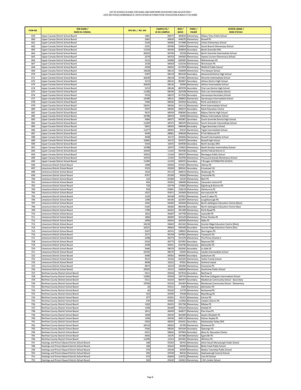| <b>ITEM NO.</b> | <b>DSB NAME /</b><br><b>NOM DU CONSEIL</b>                                                           | SFIS NO. / NO. SIIS | <b>CAMPUS ID /</b><br><b>ID DU CAMPUS</b> | <b>BSID/</b><br><b>BDICE</b> | PANEL/<br><b>PALIER</b>                | <b>SCHOOL NAME /</b><br><b>NOM D'ÉCOLE</b>                         |
|-----------------|------------------------------------------------------------------------------------------------------|---------------------|-------------------------------------------|------------------------------|----------------------------------------|--------------------------------------------------------------------|
| 659             | Upper Canada District School Board                                                                   | 1981                | 06575                                     |                              | 483834 Elementary                      | Rideau Vista Public School                                         |
| 660             | Upper Canada District School Board                                                                   | 2062                | 06630                                     |                              | 494070 Elementary                      | <b>Russell PS</b>                                                  |
| 661             | Upper Canada District School Board                                                                   | 2169                | 06690                                     |                              | 517488 Elementary                      | Chimo Elementary School                                            |
| 662             | Upper Canada District School Board                                                                   | 2191                | 06706                                     |                              | 524654 Elementary                      | South Branch Elementary School                                     |
| 663<br>664      | Upper Canada District School Board<br>Upper Canada District School Board                             | 11333<br>20033      | 06706<br>06706                            | 929859                       | Secondary<br>35240 Elementary          | North Grenville DHS<br>North Grenville Intermediate School         |
| 665             | Upper Canada District School Board                                                                   | 2270                | 06753                                     | 544582                       | Elementary                             | Sweets Corners Elementary School                                   |
| 666             | Upper Canada District School Board                                                                   | 2512                | 06908                                     | 609285                       | Elementary                             | Williamstown PS                                                    |
| 667             | Upper Canada District School Board                                                                   | 2528                | 06918                                     |                              | 613150 Elementary                      | Winchester PS                                                      |
| 668             | Upper Canada District School Board                                                                   | 2549                | 06932                                     | 617059                       | Elementary                             | Wolford Public School                                              |
| 669             | Upper Canada District School Board                                                                   | 10628               | 08110                                     |                              | 536849 Elementary                      | The Stewart School                                                 |
| 670             | Upper Canada District School Board                                                                   | 5207<br>20030       | 08119                                     |                              | 891630 Secondary                       | Almonte & District High School                                     |
| 671<br>672      | Upper Canada District School Board<br>Upper Canada District School Board                             | 5215                | 08119<br>08126                            | 557661<br>892807             | Elementary<br>Secondary                | Almonte Intermediate School<br>Athens District High School         |
| 673             | Upper Canada District School Board                                                                   | 20026               | 08126                                     |                              | 33990 Elementary                       | Athens Intermediate School                                         |
| 674             | Upper Canada District School Board                                                                   | 5253                | 08146                                     |                              | 897876 Secondary                       | Char-Lan District High School                                      |
| 675             | Upper Canada District School Board                                                                   | 11206               | 08146                                     |                              | 262508 Elementary                      | Char-Lan Intermediate School                                       |
| 676             | Upper Canada District School Board                                                                   | 5376                | 08215                                     |                              | 911526 Secondary                       | Gananoque Secondary School                                         |
| 677<br>678      | Upper Canada District School Board                                                                   | 16789<br>5585       | 08215<br>08336                            |                              | 269852 Elementary<br>935050 Secondary  | Gananoque Intermediate School                                      |
| 679             | Upper Canada District School Board<br>Upper Canada District School Board                             | 24291               | 08336                                     |                              | 101112 Elementary                      | Perth and District CI<br>Perth Intermediate School                 |
| 680             | Upper Canada District School Board                                                                   | 5597                | 08345                                     |                              | 945072 Secondary                       | <b>Adult Education Centre</b>                                      |
| 681             | Upper Canada District School Board                                                                   | 5615                | 08354                                     |                              | 938300 Secondary                       | Rideau District High School                                        |
| 682             | Upper Canada District School Board                                                                   | 16786               | 08354                                     |                              | 26666 Elementary                       | Rideau Intermediate School                                         |
| 683             | Upper Canada District School Board                                                                   | 5664                | 08375                                     |                              | 942987 Secondary                       | South Grenville District High School                               |
| 684             | Upper Canada District School Board                                                                   | 11209               | 08375                                     |                              | 386470 Elementary                      | South Grenville Intermediate School                                |
| 685<br>686      | Upper Canada District School Board<br>Upper Canada District School Board                             | 5691<br>11077       | 08393<br>08393                            |                              | 946648 Secondary<br>91610 Elementary   | Tagwi Secondary School<br>Tagwi Intermediate School                |
| 687             | Upper Canada District School Board                                                                   | 6340                | 08681                                     |                              | 468428 Elementary                      | R Tait Mckenzie PS                                                 |
| 688             | Upper Canada District School Board                                                                   | 9448                | 10172                                     |                              | 494666 Elementary                      | Russell Intermediate School                                        |
| 689             | Upper Canada District School Board                                                                   | 10685               | 10172                                     |                              | 937673 Secondary                       | Russell High School                                                |
| 690             | Upper Canada District School Board                                                                   | 5544                | 10472                                     |                              | 929590 Secondary                       | North Dundas DHS                                                   |
| 691             | Upper Canada District School Board                                                                   | 16788               | 10472                                     |                              | 153822 Elementary                      | North Dundas Intermediate School                                   |
| 692             | Upper Canada District School Board                                                                   | 10549               | 11162                                     |                              | 942596 Secondary                       | Smiths Falls & District CI                                         |
| 693             | Upper Canada District School Board                                                                   | 10552               | 11164                                     | 483672                       | Elementary                             | Montague Public School                                             |
| 694<br>695      | Upper Canada District School Board<br>Upper Canada District School Board                             | 10553<br>11095      | 11165<br>12150                            | 945072                       | 550795 Elementary<br>Secondary         | Thousand Islands Elementary School<br>T.R.Leger ALTERNATIVE SCHOOL |
| 696             | Limestone District School Board                                                                      | 1698                | 05026                                     | 415421                       | Elementary                             | Odessa PS                                                          |
| 697             | Limestone District School Board                                                                      | 5355                | 05026                                     |                              | 909181 Secondary                       | Ernestown SS                                                       |
| 698             | Limestone District School Board                                                                      | 1624                | 05114                                     |                              | 384615 Elementary                      | Newburgh PS                                                        |
| 699             | Limestone District School Board                                                                      | 9707                | 05189                                     |                              | 99260 Elementary                       | Centreville PS                                                     |
| 700             | Limestone District School Board                                                                      | 132                 | 05380                                     | 33235                        | Elementary                             | Bath PS                                                            |
| 701<br>702      | Limestone District School Board                                                                      | 454<br>720          | 05591                                     | 108499                       | Elementary                             | Clarendon Central PS                                               |
| 703             | Limestone District School Board<br>Limestone District School Board                                   | 918                 | 05778<br>05891                            | 218219                       | 170895 Elementary<br>Elementary        | Elginburg & District PS<br>Glenburnie PS                           |
| 704             | Limestone District School Board                                                                      | 1027                | 05971                                     |                              | 245909 Elementary                      | Harrowsmith PS                                                     |
| 705             | Limestone District School Board                                                                      | 1329                | 06148                                     |                              | 307831 Elementary                      | Land O Lakes PS                                                    |
| 706             | Limestone District School Board                                                                      | 1396                | 06190                                     | 322997                       | Elementary                             | Loughborough PS                                                    |
| 707             | Limestone District School Board                                                                      | 1642                | 06360                                     |                              | 403040 Elementary                      | North Addington Education Centre (Elem)                            |
| 708             | Limestone District School Board                                                                      | 5195                | 06360                                     |                              | 890596 Secondary                       | North Addington Education Centre (Sec)                             |
| 709<br>710      | Limestone District School Board<br>Limestone District School Board                                   | 1799<br>1823        | 06452<br>06467                            |                              | 441589 Elementary<br>447790 Elementary | Perth Road PS<br>Joyceville PS                                     |
| 711             | Limestone District School Board                                                                      | 1860                | 06495                                     |                              | 453129 Elementary                      | Prince Charles PS                                                  |
| 712             | Limestone District School Board                                                                      | 2099                | 06654                                     |                              | 505099 Elementary                      | Selby PS                                                           |
| 713             | Limestone District School Board                                                                      | 24230               | 06663                                     |                              | 601342 Elementary                      | Granite Ridge Education Centre (Elem)                              |
| 714             | Limestone District School Board                                                                      | 24231               | 06663                                     |                              | 930348 Secondary                       | Granite Ridge Education Centre (Sec)                               |
| 715             | Limestone District School Board                                                                      | 2247                | 06741                                     |                              | 538922 Elementary                      | Storrington PS                                                     |
| 716<br>717      | Limestone District School Board<br>Limestone District School Board                                   | 2277<br>2298        | 06758<br>06773                            |                              | 547891 Elementary<br>551376 Elementary | Tamworth PS<br>The Prince Charles S                                |
| 718             | Limestone District School Board                                                                      | 5533                | 06773                                     |                              | 927902 Secondary                       | Napanee DSS                                                        |
| 719             | Limestone District School Board                                                                      | 2548                | 06931                                     |                              | 616796 Elementary                      | Marysville PS                                                      |
| 720             | Limestone District School Board                                                                      | 5466                | 08270                                     |                              | 920592 Secondary                       | La Salle SS                                                        |
| 721             | Limestone District School Board                                                                      | 24335               | 08270                                     |                              | 52045 Elementary                       | LaSalle Intermediate School                                        |
| 722             | Limestone District School Board                                                                      | 5690                | 08392                                     |                              | 946494 Secondary                       | Sydenham HS                                                        |
| 723<br>724      | Limestone District School Board<br>Limestone District School Board                                   | 9522<br>9648        | 10183<br>10215                            |                              | 622265 Elementary<br>97055 Elementary  | Yarker Family School<br>Amherst Island                             |
| 725             | Limestone District School Board                                                                      | 9675                | 10219                                     |                              | 184284 Elementary                      | <b>Enterprise PS</b>                                               |
| 726             | Limestone District School Board                                                                      | 20025               | 19122                                     |                              | 240828 Elementary                      | Southview Public School                                            |
| 727             | Renfrew County District School Board                                                                 | 5611                | 05018                                     |                              | 937916 Secondary                       | Renfrew CI                                                         |
| 728             | Renfrew County District School Board                                                                 | 12082               | 05018                                     |                              | 193735 Elementary                      | Renfrew Collegiate Intermediate School                             |
| 729             | Renfrew County District School Board                                                                 | 5311                | 05220                                     | 904767                       | Secondary                              | MacKenzie Community School - Secondary                             |
| 730             | Renfrew County District School Board                                                                 | 10766               | 05220                                     |                              | 291404 Elementary                      | MacKenzie Community School - Elementary                            |
| 731<br>732      | Renfrew County District School Board<br>Renfrew County District School Board                         | 20<br>56            | 05311<br>05332                            |                              | 2305 Elementary<br>11770 Elementary    | Admaston PS<br>Rockwood PS                                         |
| 733             | Renfrew County District School Board                                                                 | 152                 | 05395                                     |                              | 37648 Elementary                       | Beachburg PS                                                       |
| 734             | Renfrew County District School Board                                                                 | 377                 | 05541                                     |                              | 93157 Elementary                       | Central PS                                                         |
| 735             | Renfrew County District School Board                                                                 | 470                 | 05602                                     |                              | 113956 Elementary                      | Cobden District PS                                                 |
| 736             | Renfrew County District School Board                                                                 | 1262                | 06101                                     |                              | 291790 Elementary                      | Killaloe PS                                                        |
| 737             | Renfrew County District School Board                                                                 | 1509                | 06268                                     |                              | 355224 Elementary                      | McNab PS                                                           |
| 738<br>739      | Renfrew County District School Board<br>Renfrew County District School Board                         | 1811<br>1908        | 06459<br>06530                            |                              | 444677 Elementary<br>462489 Elementary | Pine View PS<br>Queen Elizabeth PS                                 |
| 740             | Renfrew County District School Board                                                                 | 1948                | 06558                                     |                              | 469114 Elementary                      | Palmer Rapids PS                                                   |
| 741             | Renfrew County District School Board                                                                 | 5502                | 08292                                     |                              | 924431 Secondary                       | Madawaska Valley DHS                                               |
| 742             | Renfrew County District School Board                                                                 | 24510               | 08292                                     |                              | 32700 Elementary                       | Sherwood PS                                                        |
| 743             | Renfrew County District School Board                                                                 | 5566                | 08326                                     |                              | 932434 Secondary                       | Opeongo HS                                                         |
| 744             | Renfrew County District School Board                                                                 | 6231                | 08626                                     |                              | 937983 Secondary                       | Mary St. Education Centre                                          |
| 745             | Renfrew County District School Board                                                                 | 9445                | 10170                                     |                              | 167380 Elementary                      | Eganville PS                                                       |
| 746<br>747      | Renfrew County District School Board                                                                 | 11294<br>108        | 12214<br>05363                            |                              | 605492 Elementary<br>26743 Elementary  | Whitney PS                                                         |
| 748             | Hastings and Prince Edward District School Board<br>Hastings and Prince Edward District School Board | 196                 | 05423                                     |                              | 49506 Elementary                       | Athol-South Marysburgh Public School<br>Birds Creek Public School  |
| 749             | Hastings and Prince Edward District School Board                                                     | 374                 | 05538                                     |                              | 92509 Elementary                       | Madoc Township Public School                                       |
| 750             | Hastings and Prince Edward District School Board                                                     | 395                 | 05558                                     |                              | 96016 Elementary                       | Sophiasburgh Central School                                        |
| 751             | Hastings and Prince Edward District School Board                                                     | 472                 | 05603                                     |                              | 114731 Elementary                      | Coe Hill School                                                    |
| 752             | Hastings and Prince Edward District School Board                                                     | 502                 | 05630                                     |                              | 122661 Elementary                      | C M L Snider School                                                |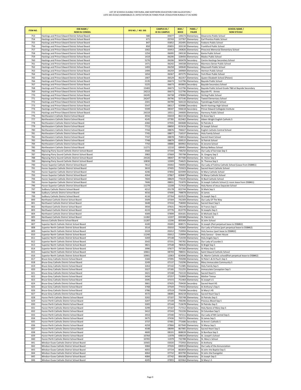| <b>ITEM NO.</b> | <b>DSB NAME /</b><br><b>NOM DU CONSEIL</b>                                                            | SFIS NO. / NO. SIIS | <b>CAMPUS ID /</b><br><b>ID DU CAMPUS</b> | BSID/<br><b>BDICE</b> | PANEL/<br><b>PALIER</b>                | <b>SCHOOL NAME /</b><br><b>NOM D'ÉCOLE</b>                                                 |
|-----------------|-------------------------------------------------------------------------------------------------------|---------------------|-------------------------------------------|-----------------------|----------------------------------------|--------------------------------------------------------------------------------------------|
| 753             | Hastings and Prince Edward District School Board                                                      | 580                 | 05677                                     |                       | 139173 Elementary                      | Deseronto Public School                                                                    |
| 754             | Hastings and Prince Edward District School Board                                                      | 671                 | 05743                                     |                       | 157767 Elementary                      | Earl Prentice Public School                                                                |
| 755             | Hastings and Prince Edward District School Board                                                      | 847                 | 05852                                     |                       | 202495 Elementary                      | Foxboro Public School                                                                      |
| 756             | Hastings and Prince Edward District School Board                                                      | 850                 | 05855                                     |                       | 203130 Elementary                      | Frankford Public School                                                                    |
| 757<br>758      | Hastings and Prince Edward District School Board<br>Hastings and Prince Edward District School Board  | 1002<br>1254        | 05953<br>06095                            |                       | 240826 Elementary<br>290130 Elementary | Pinecrest Memorial Elementary School<br>Kente Public School                                |
| 759             | Hastings and Prince Edward District School Board                                                      | 1419                | 06206                                     |                       | 328456 Elementary                      | Madoc Public School                                                                        |
| 760             | Hastings and Prince Edward District School Board                                                      | 5276                | 06206                                     |                       | 900478 Secondary                       | Centre Hastings Secondary School                                                           |
| 761             | Hastings and Prince Edward District School Board                                                      | 1471                | 06242                                     |                       | 344338 Elementary                      | Marmora Senior Public School                                                               |
| 762             | Hastings and Prince Edward District School Board                                                      | 1493                | 06258                                     |                       | 349640 Elementary                      | Maynooth Public School                                                                     |
| 763             | Hastings and Prince Edward District School Board                                                      | 1494                | 06259                                     |                       | 349909 Elementary                      | Hermon Public School                                                                       |
| 764             | Hastings and Prince Edward District School Board                                                      | 1654                | 06367                                     |                       | 407275 Elementary                      | York River Public School                                                                   |
| 765             | Hastings and Prince Edward District School Board                                                      | 1907                | 06529                                     |                       | 462357 Elementary                      | Queen Elizabeth School (Picton)                                                            |
| 766             | Hastings and Prince Edward District School Board                                                      | 2135                | 06673                                     |                       | 512796 Elementary                      | <b>Bayside Public School</b>                                                               |
| 767<br>768      | Hastings and Prince Edward District School Board<br>Hastings and Prince Edward District School Board  | 5225<br>15483       | 06673<br>06673                            | 893803                | Secondary<br>512796 Elementary         | <b>Bayside Secondary School</b><br>Bayside Public School Grade 7&8 at Bayside Secondary    |
| 769             | Hastings and Prince Edward District School Board                                                      | 24213               | 06673                                     |                       | 512796 Elementary                      | Bayside PS - Annex                                                                         |
| 770             | Hastings and Prince Edward District School Board                                                      | 24245               | 06738                                     |                       | 478084 Elementary                      | <b>Stirling Public School</b>                                                              |
| 771             | Hastings and Prince Edward District School Board                                                      | 24247               | 06796                                     |                       | 557146 Elementary                      | <b>Tweed Elementary School</b>                                                             |
| 772             | Hastings and Prince Edward District School Board                                                      | 2341                | 06799                                     |                       | 564133 Elementary                      | Tyendinaga Public School                                                                   |
| 773             | Hastings and Prince Edward District School Board                                                      | 5547                | 08317                                     |                       | 929980 Secondary                       | North Hastings High School                                                                 |
| 774             | Hastings and Prince Edward District School Board                                                      | 5599                | 08347                                     |                       | 936618 Secondary                       | Prince Edward Collegiate Institute                                                         |
| 775             | Hastings and Prince Edward District School Board                                                      | 24319               | 19311                                     |                       | 244600 Elementary                      | Harmony Public School                                                                      |
| 776             | Northeastern Catholic District School Board                                                           | 4556                | 03019                                     |                       | 862134 Elementary                      | St Anne Sep S                                                                              |
| 777             | Northeastern Catholic District School Board                                                           | 4145                | 07785                                     |                       | 815462 Elementary                      | Aileen-Wright English Catholic S                                                           |
| 778<br>779      | Northeastern Catholic District School Board<br>Northeastern Catholic District School Board            | 4366<br>7713        | 07935<br>08850                            | 840688                | Elementary<br>815616 Elementary        | St Patricks S<br>St Joseph School                                                          |
| 780             | Northeastern Catholic District School Board                                                           | 7744                | 08876                                     | 706027                | Elementary                             | English Catholic Central School                                                            |
| 781             | Northeastern Catholic District School Board                                                           | 7745                | 08877                                     |                       | 716537 Elementary                      | Holy Family School                                                                         |
| 782             | Northeastern Catholic District School Board                                                           | 7747                | 08878                                     |                       | 758914 Elementary                      | Sacred Heart School                                                                        |
| 783             | Northeastern Catholic District School Board                                                           | 7748                | 08879                                     |                       | 839515 Elementary                      | St Patrick School                                                                          |
| 784             | Northeastern Catholic District School Board                                                           | 7750                | 08880                                     | 800902                | Elementary                             | St Jerome School                                                                           |
| 785             | Northeastern Catholic District School Board                                                           | 11271               | 12210                                     | 689491                | Elementary                             | Bishop Belleau School                                                                      |
| 786             | Nipissing-Parry Sound Catholic District School Board                                                  | 3560                | 07344                                     |                       | 748250 Elementary                      | Our Lady of Sorrows Sep S                                                                  |
| 787             | Nipissing-Parry Sound Catholic District School Board                                                  | 3983                | 07669                                     |                       | 795798 Elementary                      | St. Gregory Sep S                                                                          |
| 788             | Nipissing-Parry Sound Catholic District School Board                                                  | 24326               | 08047                                     | 857580                | Elementary                             | St. Victor Sep S                                                                           |
| 789<br>790      | Nipissing-Parry Sound Catholic District School Board<br>Huron-Superior Catholic District School Board | 10830<br>7612       | 12009<br>05002                            | 754625                | Elementary<br>744093 Elementary        | St. Theresa Sep S<br>Our Lady of Fatima Catholic School (Lease from DSB#61)                |
| 791             | Huron-Superior Catholic District School Board                                                         | 3633                | 07405                                     |                       | 755923 Elementary                      | Sacred Heart Catholic School                                                               |
| 792             | Huron-Superior Catholic District School Board                                                         | 4246                | 07856                                     | 825999                | Elementary                             | St Mary Catholic School                                                                    |
| 793             | Huron-Superior Catholic District School Board                                                         | 4264                | 07867                                     | 828467                | Elementary                             | St Marys Catholic School                                                                   |
| 794             | Huron-Superior Catholic District School Board                                                         | 7604                | 08829                                     |                       | 776335 Elementary                      | St Basil Catholic School                                                                   |
| 795             | Huron-Superior Catholic District School Board                                                         | 7606                | 08831                                     |                       | 731870 Elementary                      | St Joseph Catholic School (1 room lease from DSB#61)                                       |
| 796             | Huron-Superior Catholic District School Board                                                         | 11279               | 12208                                     |                       | 717410 Elementary                      | Holy Name of Jesus Separate School                                                         |
| 797             | Sudbury Catholic District School Board                                                                | 4212                | 05178                                     |                       | 822744 Elementary                      | St Mark Sep S                                                                              |
| 798             | Sudbury Catholic District School Board                                                                | 4016                | 07690                                     |                       | 798878 Elementary                      | St James                                                                                   |
| 799<br>800      | Sudbury Catholic District School Board<br>Northwest Catholic District School Board                    | 4116<br>3509        | 07764<br>07304                            |                       | 810525 Elementary<br>742309 Elementary | St Joseph Sep S<br>Our Lady Of The Way                                                     |
| 801             | Northwest Catholic District School Board                                                              | 3648                | 07416                                     |                       | 758000 Elementary                      | Sacred Heart Sep S                                                                         |
| 802             | Northwest Catholic District School Board                                                              | 3934                | 07631                                     |                       | 790249 Elementary                      | St Francis Sep S                                                                           |
| 803             | Northwest Catholic District School Board                                                              | 4133                | 07776                                     |                       | 813770 Elementary                      | St Josephs Sep S                                                                           |
| 804             | Northwest Catholic District School Board                                                              | 4309                | 07899                                     |                       | 834181 Elementary                      | St Michaels Sep S                                                                          |
| 805             | Northwest Catholic District School Board                                                              | 11282               | 12207                                     |                       | 839388 Elementary                      | St. Patrick SS                                                                             |
| 806             | Kenora Catholic District School Board                                                                 | 11287               | 12206                                     |                       | 805068 Elementary                      | St John School                                                                             |
| 807             | Superior North Catholic District School Board                                                         | 4100                | 05005                                     |                       | 808571 Elementary                      | St Joseph (Part perpetual lease to DSB#62)                                                 |
| 808<br>809      | Superior North Catholic District School Board<br>Superior North Catholic District School Board        | 3514<br>3319        | 05010<br>05012                            |                       | 742660 Elementary<br>719994 Elementary | Our Lady of Fatima (part perpetual lease to DSB#62)<br>Holy Saviour (part lease to DSB#62) |
| 810             | Superior North Catholic District School Board                                                         | 11240               | 05012                                     | 719994                | Elementary                             | Holy Saviour - Green House                                                                 |
| 811             | Superior North Catholic District School Board                                                         | 3269                | 07148                                     | 714194                | Elementary                             | Holy Angels Sep S                                                                          |
| 812             | Superior North Catholic District School Board                                                         | 3542                | 07331                                     |                       | 745782 Elementary                      | Our Lady of Lourdes S                                                                      |
| 813             | Superior North Catholic District School Board                                                         | 3821                | 07548                                     |                       | 780626 Elementary                      | St Brigid Sep S                                                                            |
| 814             | Superior North Catholic District School Board                                                         | 3996                | 07677                                     |                       | 797260 Elementary                      | St Hilary Sep S                                                                            |
| 815             | Superior North Catholic District School Board                                                         | 10661               | 08703                                     |                       | 788031 Elementary                      | Saint Edward Catholic School                                                               |
| 816             | Superior North Catholic District School Board                                                         | 10901               | 12063                                     |                       | 824046 Elementary                      | St. Martin Catholic school(Part perpetual lease to DSB#62)                                 |
| 817<br>818      | Bruce-Grey Catholic District School Board<br>Bruce-Grey Catholic District School Board                | 3184<br>3249        | 07095<br>07137                            | 705098                | Elementary<br>710296 Elementary        | St Peter's & St Paul's Sep S<br>Mary Immaculate Community S                                |
| 819             | Bruce-Grey Catholic District School Board                                                             | 3263                | 07142                                     |                       | 711985 Elementary                      | Holy Family Sep S                                                                          |
| 820             | Bruce-Grey Catholic District School Board                                                             | 3327                | 07185                                     |                       | 721255 Elementary                      | <b>Immaculate Conception Sep S</b>                                                         |
| 821             | Bruce-Grey Catholic District School Board                                                             | 3421                | 07248                                     | 732133                | Elementary                             | Sacred Heart S                                                                             |
| 822             | Bruce-Grey Catholic District School Board                                                             | 3434                | 07257                                     | 732800                | Elementary                             | Mother Teresa                                                                              |
| 823             | Bruce-Grey Catholic District School Board                                                             | 3595                | 07372                                     |                       | 751464 Elementary                      | St Joseph's S                                                                              |
| 824             | Bruce-Grey Catholic District School Board                                                             | 3661                | 07425                                     |                       | 759430 Secondary                       | Sacred Heart HS                                                                            |
| 825<br>826      | Bruce-Grey Catholic District School Board<br>Bruce-Grey Catholic District School Board                | 3768<br>3786        | 07504<br>07519                            |                       | 774332 Elementary<br>776599 Secondary  | St Anthony's Sep S                                                                         |
| 827             | Bruce-Grey Catholic District School Board                                                             | 4572                | 08085                                     |                       | 864218 Elementary                      | St Mary's HS<br>Sacred Heart Sep S                                                         |
| 828             | Huron Perth Catholic District School Board                                                            | 3202                | 07107                                     |                       | 705748 Elementary                      | St Patricks Sep S                                                                          |
| 829             | Huron Perth Catholic District School Board                                                            | 3207                | 07109                                     |                       | 706396 Elementary                      | Precious Blood Sep S                                                                       |
| 830             | Huron Perth Catholic District School Board                                                            | 3265                | 07144                                     |                       | 713678 Elementary                      | St Patricks Sep S                                                                          |
| 831             | Huron Perth Catholic District School Board                                                            | 3299                | 07167                                     |                       | 717312 Elementary                      | Holy Name of Mary Sep S                                                                    |
| 832             | Huron Perth Catholic District School Board                                                            | 3412                | 07243                                     |                       | 731226 Elementary                      | St Columban Sep S                                                                          |
| 833             | Huron Perth Catholic District School Board                                                            | 3553                | 07340                                     |                       | 747211 Elementary                      | Our Lady of Mt Carmel Sep S                                                                |
| 834             | Huron Perth Catholic District School Board                                                            | 3675                | 07436                                     |                       | 763721 Elementary                      | St James Sep S                                                                             |
| 835             | Huron Perth Catholic District School Board                                                            | 3737                | 07481                                     |                       | 771686 Secondary                       | St Anne's Catholic S                                                                       |
| 836<br>837      | Huron Perth Catholic District School Board<br>Huron Perth Catholic District School Board              | 4259<br>4598        | 07866<br>08099                            |                       | 827940 Elementary<br>867985 Elementary | St Marys Sep S<br>Sacred Heart Sep S                                                       |
| 838             | Huron Perth Catholic District School Board                                                            | 4600                | 08101                                     |                       | 868639 Elementary                      | St Boniface Sep S                                                                          |
| 839             | Huron Perth Catholic District School Board                                                            | 10764               | 11978                                     |                       | 698334 Elementary                      | St. Joseph's School                                                                        |
| 840             | Huron Perth Catholic District School Board                                                            | 10765               | 11979                                     |                       | 732788 Elementary                      | St. Mary's School                                                                          |
| 841             | Windsor-Essex Catholic District School Board                                                          | 10565               | 03020                                     |                       | 772950 Elementary                      | St Anthony                                                                                 |
| 842             | Windsor-Essex Catholic District School Board                                                          | 3084                | 07026                                     |                       | 690910 Elementary                      | Our Lady of the Annunciation                                                               |
| 843             | Windsor-Essex Catholic District School Board                                                          | 4055                | 07724                                     |                       | 802859 Elementary                      | St John the Baptist Sep S                                                                  |
| 844             | Windsor-Essex Catholic District School Board                                                          | 4064                | 07732                                     |                       | 803790 Elementary                      | St John the Evangelist                                                                     |
| 845<br>846      | Windsor-Essex Catholic District School Board<br>Windsor-Essex Catholic District School Board          | 4084<br>4245        | 07742<br>07855                            |                       | 806188 Elementary<br>825964 Elementary | St Joseph Sep S<br>St Mary's S                                                             |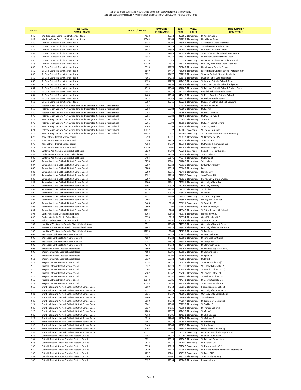| <b>ITEM NO.</b> | <b>DSB NAME /</b><br><b>NOM DU CONSEIL</b>                                                                                                                   | SFIS NO. / NO. SIIS | <b>CAMPUS ID /</b><br><b>ID DU CAMPUS</b> | BSID/<br><b>BDICE</b> | PANEL/<br><b>PALIER</b>                | <b>SCHOOL NAME /</b><br><b>NOM D'ÉCOLE</b>                                       |
|-----------------|--------------------------------------------------------------------------------------------------------------------------------------------------------------|---------------------|-------------------------------------------|-----------------------|----------------------------------------|----------------------------------------------------------------------------------|
| 847             | Windsor-Essex Catholic District School Board                                                                                                                 | 4538                | 08058                                     | 859095                | Elementary                             | St William Sep S                                                                 |
| 848             | Windsor-Essex Catholic District School Board                                                                                                                 | 10563               | 08469                                     |                       | 717835 Elementary                      | Holy Name Essex                                                                  |
| 849<br>850      | London District Catholic School Board                                                                                                                        | 3038<br>3643        | 06995<br>07413                            | 688061<br>757225      | Elementary                             | <b>Assumption Catholic School</b><br>Sacred Heart Catholic School                |
| 851             | London District Catholic School Board<br>London District Catholic School Board                                                                               | 3846                | 07562                                     |                       | Elementary<br>782440 Elementary        | St. Charles Catholic School                                                      |
| 852             | London District Catholic School Board                                                                                                                        | 4235                | 07848                                     |                       | 824437 Elementary                      | St. Mary's Catholic School, West Lorne                                           |
| 853             | London District Catholic School Board                                                                                                                        | 4342                | 07920                                     |                       | 836915 Elementary                      | St. Patrick Catholic School, Lucan                                               |
| 854             | London District Catholic School Board                                                                                                                        | 10175               | 10446                                     | 704253                | Secondary                              | Holy Cross Catholic Secondary School                                             |
| 855             | London District Catholic School Board                                                                                                                        | 12019               | 12310                                     |                       | 745138 Elementary                      | Our Lady of Lourdes Catholic School                                              |
| 856             | St. Clair Catholic District School Board                                                                                                                     | 3315                | 07178                                     |                       | 719269 Elementary                      | Holy Rosary Catholic School                                                      |
| 857<br>858      | St. Clair Catholic District School Board<br>St. Clair Catholic District School Board                                                                         | 3649<br>3732        | 07417<br>07477                            |                       | 758108 Elementary<br>771295 Elementary | Sacred Heart Catholic School, Port Lambton<br>St. Anne Catholic School, Blenheim |
| 859             | St. Clair Catholic District School Board                                                                                                                     | 4061                | 07730                                     |                       | 803375 Elementary                      | St. John Fisher Catholic School                                                  |
| 860             | St. Clair Catholic District School Board                                                                                                                     | 4123                | 07770                                     |                       | 811432 Elementary                      | St. Joseph Catholic School, Tilbury                                              |
| 861             | St. Clair Catholic District School Board                                                                                                                     | 4304                | 07894                                     |                       | 833142 Elementary                      | St. Michael Catholic School, Ridgetown                                           |
| 862             | St. Clair Catholic District School Board                                                                                                                     | 4315                | 07903                                     |                       | 834602 Elementary                      | St. Michael Catholic School, Bright's Grove                                      |
| 863             | St. Clair Catholic District School Board                                                                                                                     | 4386                | 07947                                     |                       | 842249 Elementary                      | Good Shepherd Catholic School                                                    |
| 864<br>865      | St. Clair Catholic District School Board<br>St. Clair Catholic District School Board                                                                         | 4400<br>4424        | 07953<br>07969                            | 846015                | 843415 Elementary<br>Elementary        | St. Peter Canisius Catholic School<br>St. Philip Catholic School                 |
| 866             | St. Clair Catholic District School Board                                                                                                                     | 6387                | 08711                                     |                       | 809233 Elementary                      | St. Joseph Catholic School, Corunna                                              |
| 867             | Peterborough Victoria Northumberland and Clarington Catholic District School                                                                                 | 9252                | 10081                                     |                       | 704318 Elementary                      | St. Joseph, Douro                                                                |
| 868             | Peterborough Victoria Northumberland and Clarington Catholic District School                                                                                 | 9253                | 10082                                     |                       | 706000 Elementary                      | St. Martin                                                                       |
| 869             | Peterborough Victoria Northumberland and Clarington Catholic District School                                                                                 | 9254                | 10083                                     |                       | 842893 Elementary                      | St. Paul, Lakefield                                                              |
| 870             | Peterborough Victoria Northumberland and Clarington Catholic District School                                                                                 | 9255                | 10084                                     |                       | 841498 Elementary                      | St. Paul, Norwood                                                                |
| 871             | Peterborough Victoria Northumberland and Clarington Catholic District School                                                                                 | 9256                | 10085                                     |                       | 705870 Elementary                      | St. Luke                                                                         |
| 872<br>873      | Peterborough Victoria Northumberland and Clarington Catholic District School                                                                                 | 9261<br>9265        | 10090                                     | 828858                | Elementary                             | St. Mary, Campbellford                                                           |
| 874             | Peterborough Victoria Northumberland and Clarington Catholic District School<br>Peterborough Victoria Northumberland and Clarington Catholic District School | 10037               | 10094<br>10372                            |                       | 825654 Elementary<br>855006 Secondary  | St. Mary, Grafton<br>St Thomas Aquinas CSS                                       |
| 875             | Peterborough Victoria Northumberland and Clarington Catholic District School                                                                                 | 18638               | 10372                                     |                       | 855006 Secondary                       | St. Thomas Aguinas CSS Tech Building                                             |
| 876             | York Catholic District School Board                                                                                                                          | 3759                | 05021                                     |                       | 773832 Elementary                      | St. Bernadette CES                                                               |
| 877             | York Catholic District School Board                                                                                                                          | 4280                | 07875                                     |                       | 830437 Elementary                      | St. Mary CES                                                                     |
| 878             | York Catholic District School Board                                                                                                                          | 4352                | 07927                                     |                       | 838314 Elementary                      | St. Patrick (Schomberg) CES                                                      |
| 879             | York Catholic District School Board                                                                                                                          | 24310               | 19302                                     | 688745                | Elementary                             | <b>Guardian Angels CES</b>                                                       |
| 880             | Dufferin-Peel Catholic District School Board                                                                                                                 | 3620                | 07394                                     | 753211                | Secondary                              | Robert F. Hall Catholic SS                                                       |
| 881<br>882      | Dufferin-Peel Catholic District School Board<br>Dufferin-Peel Catholic District School Board                                                                 | 3874<br>9484        | 07583<br>10176                            | 785393<br>776742      | Elementary<br>Elementary               | St. Cornelius S<br>St. Benedict                                                  |
| 883             | Simcoe Muskoka Catholic District School Board                                                                                                                | 3270                | 05141                                     | 714208                | Elementary                             | Saint Mary's                                                                     |
| 884             | Simcoe Muskoka Catholic District School Board                                                                                                                | 8287                | 09328                                     |                       | 706930 Elementary                      | Father F.X. O'Reilly                                                             |
| 885             | Simcoe Muskoka Catholic District School Board                                                                                                                | 8288                | 09329                                     |                       | 729663 Elementary                      | Foley                                                                            |
| 886             | Simcoe Muskoka Catholic District School Board                                                                                                                | 8290                | 09331                                     | 716413                | Elementary                             | <b>Holy Family</b>                                                               |
| 887             | Simcoe Muskoka Catholic District School Board                                                                                                                | 8292                | 09333                                     |                       | 723630 Secondary                       | Jean Vanier HS                                                                   |
| 888             | Simcoe Muskoka Catholic District School Board                                                                                                                | 8297                | 09338                                     |                       | 733520 Elementary                      | Monsignor Michael O'Leary                                                        |
| 889             | Simcoe Muskoka Catholic District School Board                                                                                                                | 8300                | 09341                                     |                       | 745391 Elementary                      | Our Lady of Lourdes                                                              |
| 890<br>891      | Simcoe Muskoka Catholic District School Board<br>Simcoe Muskoka Catholic District School Board                                                               | 8301<br>8310        | 09342<br>09350                            |                       | 689106 Elementary<br>782130 Elementary | Our Lady of Mercy<br>St Charles                                                  |
| 892             | Simcoe Muskoka Catholic District School Board                                                                                                                | 8313                | 09353                                     |                       | 798436 Elementary                      | St James                                                                         |
| 893             | Simcoe Muskoka Catholic District School Board                                                                                                                | 8327                | 09365                                     |                       | 773050 Secondary                       | St Thomas Aquinas                                                                |
| 894             | Simcoe Muskoka Catholic District School Board                                                                                                                | 9404                | 10156                                     |                       | 733563 Elementary                      | Monsignor J.E. Ronan                                                             |
| 895             | Simcoe Muskoka Catholic District School Board                                                                                                                | 9406                | 10158                                     |                       | 786691 Secondary                       | St Dominic's SS                                                                  |
| 896             | Simcoe Muskoka Catholic District School Board                                                                                                                | 9590                | 10203                                     |                       | 693634 Elementary                      | <b>Canadian Martyrs</b>                                                          |
| 897             | Simcoe Muskoka Catholic District School Board                                                                                                                | 11292               | 12209                                     |                       | 843342 Elementary                      | St Peter the Apostle School                                                      |
| 898             | Durham Catholic District School Board<br>Durham Catholic District School Board                                                                               | 8764<br>9330        | 09660<br>10128                            |                       | 720313 Elementary                      | Holy Family C.S.                                                                 |
| 899<br>900      | Halton Catholic District School Board                                                                                                                        | 8128                | 09192                                     |                       | 710954 Elementary<br>809144 Elementary | Good Shepherd C.S.<br>St. Joseph (A) CES                                         |
| 901             | Hamilton-Wentworth Catholic District School Board                                                                                                            | 3511                | 07306                                     |                       | 742350 Elementary                      | Our Lady of Mount Carmel                                                         |
| 902             | Hamilton-Wentworth Catholic District School Board                                                                                                            | 3564                | 07348                                     |                       | 748633 Elementary                      | Our Lady of the Assumption                                                       |
| 903             | Hamilton-Wentworth Catholic District School Board                                                                                                            | 11255               | 12189                                     |                       | 745279 Elementary                      | St. Mathew                                                                       |
| 904             | Wellington Catholic District School Board                                                                                                                    | 4041                | 07712                                     |                       | 801429 Elementary                      | St John Cath Arth                                                                |
| 905             | Wellington Catholic District School Board                                                                                                                    | 4059                | 07728                                     |                       | 803189 Elementary                      | St John Brebeuf Cath S                                                           |
| 906             | Wellington Catholic District School Board                                                                                                                    | 4241                | 07852                                     |                       | 825344 Elementary                      | St Mary Cath MF                                                                  |
| 907<br>908      | Wellington Catholic District School Board<br>Waterloo Catholic District School Board                                                                         | 4242<br>4590        | 07853<br>08094                            |                       | 825476 Elementary<br>866296 Elementary | St Mary Cath Elora<br>St Boniface Sep S (Maryhill)                               |
| 909             | Waterloo Catholic District School Board                                                                                                                      | 4592                | 08095                                     |                       | 866555 Elementary                      | St Clement Sep S                                                                 |
| 910             | Waterloo Catholic District School Board                                                                                                                      | 4596                | 08097                                     |                       | 867853 Elementary                      | St Agatha S                                                                      |
| 911             | Waterloo Catholic District School Board                                                                                                                      | 9939                | 10338                                     |                       | 780650 Elementary                      | St. Brigid                                                                       |
| 912             | Niagara Catholic District School Board                                                                                                                       | 3724                | 07470                                     |                       | 770612 Elementary                      | St Ann Catholic E S (f)                                                          |
| 913             | Niagara Catholic District School Board                                                                                                                       | 3922                | 07620                                     |                       | 789330 Elementary                      | St Elizabeth Catholic E S                                                        |
| 914             | Niagara Catholic District School Board                                                                                                                       | 4104                | 07756                                     |                       | 809098 Elementary                      | St Joseph Catholic E S (s)                                                       |
| 915             | Niagara Catholic District School Board                                                                                                                       | 7967                | 09042                                     | 787906                | Elementary                             | St Edward Catholic E S                                                           |
| 916<br>917      | Niagara Catholic District School Board<br>Niagara Catholic District School Board                                                                             | 7977<br>10078       | 09052<br>10386                            |                       | 832880 Elementary<br>744743 Elementary | St Michael Catholic E S                                                          |
| 918             | Niagara Catholic District School Board                                                                                                                       | 24298               | 19290                                     |                       | 823783 Elementary                      | St George Catholic E S<br>St. Martin Catholic E S                                |
| 919             | Brant Haldimand Norfolk Catholic District School Board                                                                                                       | 3069                | 07012                                     |                       | 690015 Elementary                      | <b>Blessed Sacrament Sep S</b>                                                   |
| 920             | Brant Haldimand Norfolk Catholic District School Board                                                                                                       | 3522                | 07315                                     |                       | 743968 Elementary                      | Our Lady of Fatima Sep S                                                         |
| 921             | Brant Haldimand Norfolk Catholic District School Board                                                                                                       | 3536                | 07327                                     |                       | 745006 Elementary                      | Our Lady of La Salette Sep S                                                     |
| 922             | Brant Haldimand Norfolk Catholic District School Board                                                                                                       | 3660                | 07424                                     |                       | 759309 Elementary                      | Sacred Heart S                                                                   |
| 923             | Brant Haldimand Norfolk Catholic District School Board                                                                                                       | 3810                | 07538                                     |                       | 779067 Elementary                      | St Bernard of Clairvaux S                                                        |
| 924             | Brant Haldimand Norfolk Catholic District School Board                                                                                                       | 3842                | 07560                                     |                       | 782050 Elementary                      | St Cecilia's S                                                                   |
| 925             | Brant Haldimand Norfolk Catholic District School Board                                                                                                       | 3927<br>4285        | 07625<br>07877                            |                       | 789984 Elementary                      | St Frances Cabrini S                                                             |
| 926<br>927      | Brant Haldimand Norfolk Catholic District School Board<br>Brant Haldimand Norfolk Catholic District School Board                                             | 4318                | 07905                                     |                       | 831450 Elementary<br>834831 Elementary | St Marys S<br>St Michaels Sep                                                    |
| 928             | Brant Haldimand Norfolk Catholic District School Board                                                                                                       | 4319                | 07906                                     |                       | 834963 Elementary                      | St Michaels S                                                                    |
| 929             | Brant Haldimand Norfolk Catholic District School Board                                                                                                       | 4365                | 07934                                     |                       | 840556 Elementary                      | St Patricks Sep                                                                  |
| 930             | Brant Haldimand Norfolk Catholic District School Board                                                                                                       | 4469                | 08006                                     |                       | 850950 Elementary                      | St Stephens S                                                                    |
| 931             | Brant Haldimand Norfolk Catholic District School Board                                                                                                       | 6104                | 08566                                     |                       | 736481 Elementary                      | Notre Dame (Caledonia)                                                           |
| 932             | Brant Haldimand Norfolk Catholic District School Board                                                                                                       | 10117               | 10402                                     |                       | 720232 Secondary                       | Holy Trinity Catholic High School                                                |
| 933             | Catholic District School Board of Eastern Ontario                                                                                                            | 4053                | 03016                                     |                       | 802700 Elementary                      | St. John Elementary                                                              |
| 934<br>935      | Catholic District School Board of Eastern Ontario<br>Catholic District School Board of Eastern Ontario                                                       | 9821<br>9822        | 05015<br>05015                            |                       | 832502 Elementary                      | St. Michael Elementary<br>St. Michael CHS                                        |
| 936             | Catholic District School Board of Eastern Ontario                                                                                                            | 3596                | 05118                                     |                       | 832480 Secondary<br>751502 Secondary   | St. Francix Xavier CHS                                                           |
| 937             | Catholic District School Board of Eastern Ontario                                                                                                            | 9820                | 05118                                     |                       | 792365 Elementary                      | St. Francis Xavier Elementary - Hammond                                          |
| 938             | Catholic District School Board of Eastern Ontario                                                                                                            | 4237                | 05201                                     |                       | 824593 Secondary                       | St. Mary CHS                                                                     |
| 939             | Catholic District School Board of Eastern Ontario                                                                                                            | 4266                | 05201                                     |                       | 828726 Elementary                      | St. Mary Elementary                                                              |
| 940             | Catholic District School Board of Eastern Ontario                                                                                                            | 3127                | 07054                                     |                       | 696269 Elementary                      | Iona Academy                                                                     |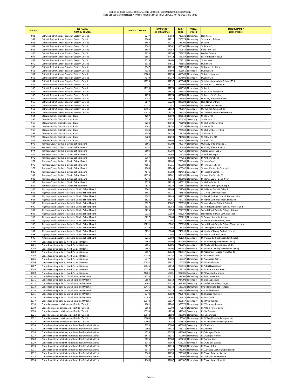| <b>ITEM NO.</b> | <b>DSB NAME /</b><br><b>NOM DU CONSEIL</b>                                                                                   | SFIS NO. / NO. SIIS | <b>CAMPUS ID /</b><br><b>ID DU CAMPUS</b> | BSID/<br><b>BDICE</b> | PANEL/<br><b>PALIER</b>                | <b>SCHOOL NAME /</b><br><b>NOM D'ÉCOLE</b>                               |
|-----------------|------------------------------------------------------------------------------------------------------------------------------|---------------------|-------------------------------------------|-----------------------|----------------------------------------|--------------------------------------------------------------------------|
| 941             | Catholic District School Board of Eastern Ontario                                                                            | 3277                | 07153                                     |                       | 715131 Elementary                      | <b>Holy Cross</b>                                                        |
| 942             | Catholic District School Board of Eastern Ontario                                                                            | 3368                | 07211                                     |                       | 725374 Elementary                      | St. Joseph - Toledo                                                      |
| 943<br>944      | Catholic District School Board of Eastern Ontario<br>Catholic District School Board of Eastern Ontario                       | 3457<br>3582        | 07272<br>07362                            | 736201<br>806102      | Elementary<br>Elementary               | St. Jude<br>St. Finnan's                                                 |
| 945             | Catholic District School Board of Eastern Ontario                                                                            | 3587                | 07367                                     | 750646                | Elementary                             | Pope John Paul                                                           |
| 946             | Catholic District School Board of Eastern Ontario                                                                            | 3624                | 07398                                     | 753670                | Elementary                             | Mother Teresa                                                            |
| 947             | Catholic District School Board of Eastern Ontario                                                                            | 3655                | 07422                                     | 758787                | Elementary                             | Sacred Heart of Jesus                                                    |
| 948             | Catholic District School Board of Eastern Ontario                                                                            | 3716                | 07464                                     | 769312                | Elementary                             | St. Andrew                                                               |
| 949             | Catholic District School Board of Eastern Ontario                                                                            | 3912                | 07611                                     | 788686                | Elementary                             | St. Edward                                                               |
| 950<br>951      | Catholic District School Board of Eastern Ontario<br>Catholic District School Board of Eastern Ontario                       | 3947<br>4022        | 07639<br>07694                            | 803065                | 791938 Elementary<br>Secondary         | St. Francis de Sales<br>St. Luke CHS                                     |
| 952             | Catholic District School Board of Eastern Ontario                                                                            | 10683               | 07694                                     | 818968                | Elementary                             | St. Luke Elementary                                                      |
| 953             | Catholic District School Board of Eastern Ontario                                                                            | 4070                | 07737                                     |                       | 804800 Secondary                       | St. John CHS                                                             |
| 954             | Catholic District School Board of Eastern Ontario                                                                            | 12726               | 07737                                     |                       | 680764 Elementary                      | St. John Intermediate School (7&8)                                       |
| 955             | Catholic District School Board of Eastern Ontario                                                                            | 4134                | 07777                                     | 813907                | Elementary                             | St. Joseph - Gananoque                                                   |
| 956             | Catholic District School Board of Eastern Ontario                                                                            | 11125               | 07779                                     | 814555                | Elementary                             | St. Mark                                                                 |
| 957<br>958      | Catholic District School Board of Eastern Ontario<br>Catholic District School Board of Eastern Ontario                       | 4270<br>4278        | 07870<br>07874                            | 828980<br>830283      | Elementary<br>Elementary               | St. Mary - Chesterville<br>St. Mary - St. Cecilia                        |
| 959             | Catholic District School Board of Eastern Ontario                                                                            | 6085                | 08563                                     | 741361                | Elementary                             | Our Lady of Good Counsel                                                 |
| 960             | Catholic District School Board of Eastern Ontario                                                                            | 9677                | 10220                                     | 828203                | Elementary                             | Holy Name of Mary                                                        |
| 961             | Catholic District School Board of Eastern Ontario                                                                            | 10076               | 10385                                     | 799602                | Elementary                             | St. James the Greater                                                    |
| 962             | Catholic District School Board of Eastern Ontario                                                                            | 10455               | 11112                                     | 733067                | Secondary                              | St. Thomas Aquinas CHS                                                   |
| 963             | Catholic District School Board of Eastern Ontario                                                                            | 10623               | 11112                                     | 773026                | Elementary                             | St. Thomas Aquinas Elementary                                            |
| 964<br>965      | Ottawa Catholic District School Board<br>Ottawa Catholic District School Board                                               | 4257<br>4573        | 05092<br>05092                            | 864331                | 827843 Elementary<br>Secondary         | St Mark 7-8<br>St Marks 9-12                                             |
| 966             | Ottawa Catholic District School Board                                                                                        | 3223                | 07118                                     |                       | 707694 Elementary                      | St Michael Fitzroy CES                                                   |
| 967             | Ottawa Catholic District School Board                                                                                        | 3241                | 07130                                     |                       | 708739 Elementary                      | St Mary CES                                                              |
| 968             | Ottawa Catholic District School Board                                                                                        | 3324                | 07183                                     | 720569                | Elementary                             | St Michael Corkery CES                                                   |
| 969             | Ottawa Catholic District School Board                                                                                        | 3399                | 07233                                     | 729795                | Elementary                             | St Isidore CES                                                           |
| 970             | Ottawa Catholic District School Board                                                                                        | 3489                | 07290                                     | 740586                | Elementary                             | St Catherine CES                                                         |
| 971<br>972      | Ottawa Catholic District School Board<br>Renfrew County Catholic District School Board                                       | 4418<br>3505        | 07964<br>07302                            |                       | 845620 Elementary<br>742147 Elementary | St Philip CES<br>Our Lady of Fatima Sep S                                |
| 973             | Renfrew County Catholic District School Board                                                                                | 3531                | 07322                                     |                       | 744654 Elementary                      | Our Lady of Grace Sep S                                                  |
| 974             | Renfrew County Catholic District School Board                                                                                | 3604                | 07380                                     |                       | 752410 Elementary                      | George Vanier Sep S                                                      |
| 975             | Renfrew County Catholic District School Board                                                                                | 3715                | 07463                                     |                       | 769185 Elementary                      | St Andrews Sep S                                                         |
| 976             | Renfrew County Catholic District School Board                                                                                | 3767                | 07503                                     | 774251                | Elementary                             | St Anthony's Sep S                                                       |
| 977             | Renfrew County Catholic District School Board                                                                                | 4013                | 07688                                     | 798568                | Elementary                             | St James Sep S                                                           |
| 978             | Renfrew County Catholic District School Board                                                                                | 4056                | 07725                                     |                       | 802980 Elementary                      | St John Bosco Sep S                                                      |
| 979             | Renfrew County Catholic District School Board                                                                                | 4088                | 07745                                     | 806382                | Elementary                             | St Joseph's Sep S - Calabogie                                            |
| 980<br>981      | Renfrew County Catholic District School Board<br>Renfrew County Catholic District School Board                               | 4141<br>11079       | 07782<br>07782                            | 814962                | Secondary<br>854186 Elementary         | St Joseph's Catholic HS<br>St Joseph's Catholic ES                       |
| 982             | Renfrew County Catholic District School Board                                                                                | 4274                | 07871                                     |                       | 829501 Elementary                      | St Mary's Sep S - Deep River                                             |
| 983             | Renfrew County Catholic District School Board                                                                                | 4326                | 07910                                     |                       | 835226 Elementary                      | St Michael's Sep S                                                       |
| 984             | Renfrew County Catholic District School Board                                                                                | 4513                | 08039                                     |                       | 856410 Elementary                      | St Thomas the Apostle Sep S                                              |
| 985             | Algonquin and Lakeshore Catholic District School Board                                                                       | 3302                | 07169                                     |                       | 717703 Elementary                      | Holy Name Catholic School                                                |
| 986             | Algonquin and Lakeshore Catholic District School Board                                                                       | 3455                | 07271                                     |                       | 735523 Elementary                      | JJ O'Neill Catholic School                                               |
| 987             | Algonquin and Lakeshore Catholic District School Board                                                                       | 4381                | 07944                                     |                       | 841773 Elementary                      | St Patrick Catholic School, Harrowsmith                                  |
| 988<br>989      | Algonquin and Lakeshore Catholic District School Board<br>Algonquin and Lakeshore Catholic District School Board             | 6526<br>6527        | 08761<br>08762                            |                       | 764248 Elementary<br>799556 Elementary | St Patrick Catholic School, Erinsville<br>St James Major Catholic School |
| 990             | Algonquin and Lakeshore Catholic District School Board                                                                       | 6528                | 08763                                     |                       | 868370 Elementary                      | Sacred Heart Catholic School, Wolfe Island                               |
| 991             | Algonquin and Lakeshore Catholic District School Board                                                                       | 9225                | 10058                                     |                       | 764370 Elementary                      | Sacred Heart Catholic School, Batawa                                     |
| 992             | Algonquin and Lakeshore Catholic District School Board                                                                       | 9226                | 10059                                     | 865257                | Elementary                             | Holy Name of Mary Catholic School                                        |
| 993             | Algonquin and Lakeshore Catholic District School Board                                                                       | 9227                | 10060                                     |                       | 796220 Elementary                      | St Gregory Catholic School                                               |
| 994             | Algonquin and Lakeshore Catholic District School Board                                                                       | 9228                | 10061                                     |                       | 865125 Elementary                      | St Mary Catholic School, Read                                            |
| 995<br>996      | Algonquin and Lakeshore Catholic District School Board<br>Algonquin and Lakeshore Catholic District School Board             | 15291<br>9230       | 10062<br>10063                            |                       | 756830 Elementary<br>781142 Elementary | Sacred Heart Catholic School, Marmora new<br>St Carthagh Catholic School |
| 997             | Algonquin and Lakeshore Catholic District School Board                                                                       | 9231                | 10064                                     |                       | 746690 Elementary                      | Our Lady of Mercy Catholic School                                        |
| 998             | Algonquin and Lakeshore Catholic District School Board                                                                       | 9233                | 10066                                     |                       | 824330 Elementary                      | St Martin Catholic School                                                |
| 999             | Algonquin and Lakeshore Catholic District School Board                                                                       | 9236                | 10069                                     | 851752                | Secondary                              | St Theresa Catholic Secondary School                                     |
| 1000            | Conseil scolaire public du Nord-Est de l'Ontario                                                                             | 9564                | 05004                                     |                       | 902306 Secondary                       | ÉSP Cochrane (Leased from DSB 1)                                         |
| 1001            | Conseil scolaire public du Nord-Est de l'Ontario                                                                             | 9565                | 05006                                     |                       | 918296 Secondary                       | ÉSP l'Alliance (Leased from DSB 1)                                       |
| 1002            | Conseil scolaire public du Nord-Est de l'Ontario                                                                             | 9566<br>9567        | 05007                                     |                       | 919055 Secondary                       | ÉSP Écho du Nord (Leased from DSB 1)                                     |
| 1003<br>1004    | Conseil scolaire public du Nord-Est de l'Ontario<br>Conseil scolaire public du Nord-Est de l'Ontario                         | 10080               | 05020<br>06130                            |                       | 946117 Secondary<br>156230 Elementary  | ÉSP Northern (Leased from DSB 4)<br>ÉÉP Étoile du Nord                   |
| 1005            | Conseil scolaire public du Nord-Est de l'Ontario                                                                             | 6377                | 08706                                     | 199737                | Elementary                             | ÉÉP Jeunesse Active                                                      |
| 1006            | Conseil scolaire public du Nord-Est de l'Ontario                                                                             | 10692               | 08837                                     |                       | 165182 Elementary                      | ÉÉP Cœur du Nord                                                         |
| 1007            | Conseil scolaire public du Nord-Est de l'Ontario                                                                             | 10846               | 12018                                     | 260926                | Elementary                             | ÉÉP des Navigateurs                                                      |
| 1008            | Conseil scolaire public du Nord-Est de l'Ontario                                                                             | 16239               | 17105                                     | 111532                | Elementary                             | ÉÉP Passeport Jeunesse                                                   |
| 1009            | Conseil scolaire public du Nord-Est de l'Ontario                                                                             | 24401               | 19401                                     | 902306                | Secondary                              | <b>ÉSP Passeport Jeunesse</b>                                            |
| 1010<br>1011    | Conseil scolaire public du Grand Nord de l'Ontario<br>Conseil scolaire public du Grand Nord de l'Ontario                     | 9558<br>9559        | 05011<br>05013                            | 332100<br>924792      | Elementary<br>Secondary                | ÉP Franco-Manitou<br>ÉS Cité-Supérieure                                  |
| 1012            | Conseil scolaire public du Grand Nord de l'Ontario                                                                           | 9562                | 05014                                     | 911100                | Secondary                              | ÉS de la Rivière des Français                                            |
| 1013            | Conseil scolaire public du Grand Nord de l'Ontario                                                                           | 10476               | 05014                                     | 138720                | Elementary                             | ÉP de la Rivière des Français                                            |
| 1014            | Conseil scolaire public du Grand Nord de l'Ontario                                                                           | 9946                | 05178                                     | 342432                | Elementary                             | ÉP Camille-Perron                                                        |
| 1015            | Conseil scolaire public du Grand Nord de l'Ontario                                                                           | 6342                | 08682                                     | 912573                | Secondary                              | ÉS Château Jeunesse                                                      |
| 1016            | Conseil scolaire public du Grand Nord de l'Ontario                                                                           | 10745               | 11707                                     | 25977                 | Elementary                             | ÉP l'Escalade                                                            |
| 1017            | Conseil scolaire public du Grand Nord de l'Ontario                                                                           | 10972               | 12117                                     | 890817                | Secondary                              | ÉS l'Orée des Bois                                                       |
| 1018<br>1019    | Conseil des écoles publiques de l'Est de l'Ontario<br>Conseil des écoles publiques de l'Est de l'Ontario                     | 4081<br>9868        | 07740<br>10304                            | 79839                 | 383376 Elementary<br>Elementary        | ÉÉP Terre des Jeunes<br>ÉÉP De la Rivière Castor                         |
| 1020            | Conseil des écoles publiques de l'Est de l'Ontario                                                                           | 10394               | 11094                                     |                       | 949540 Secondary                       | ÉSP Le Sommet                                                            |
| 1021            | Conseil des écoles publiques de l'Est de l'Ontario                                                                           | 10578               | 11094                                     |                       | 313190 Elementary                      | ÉIP Le Sommet                                                            |
| 1022            | Conseil des écoles publiques de l'Est de l'Ontario                                                                           | 10600               | 11280                                     | 196502                | Elementary                             | ÉÉP L'Académie de la Seigneurie                                          |
| 1023            | Conseil des écoles publiques de l'Est de l'Ontario                                                                           | 10602               | 11280                                     | 898582                | Secondary                              | ÉSP L'Académie de la Seigneurie                                          |
| 1024            | Conseil scolaire de district catholique des Grandes Rivières                                                                 | 3024                | 05006                                     | 686085                | Secondary                              | ÉSC l'Alliance                                                           |
| 1025            | Conseil scolaire de district catholique des Grandes Rivières                                                                 | 9302<br>4320        | 05033                                     |                       | 711110 Secondary                       | ÉSC Hearst                                                               |
| 1026<br>1027    | Conseil scolaire de district catholique des Grandes Rivières<br>Conseil scolaire de district catholique des Grandes Rivières | 6474                | 05176<br>05176                            | 835005                | Secondary<br>707996 Elementary         | ÉSC Georges-Vanier<br>ÉÉC Georges-Vanier                                 |
| 1028            | Conseil scolaire de district catholique des Grandes Rivières                                                                 | 3026                | 06988                                     |                       | 686638 Elementary                      | ÉÉC André-Cary                                                           |
| 1029            | Conseil scolaire de district catholique des Grandes Rivières                                                                 | 3146                | 07068                                     | 698725                | Secondary                              | ÉSC Cité-des-Jeunes                                                      |
| 1030            | Conseil scolaire de district catholique des Grandes Rivières                                                                 | 3217                | 07113                                     | 707309                | Elementary                             | ÉÉC Saint-Jules                                                          |
| 1031            | Conseil scolaire de district catholique des Grandes Rivières                                                                 | 3346                | 07194                                     |                       | 723290 Elementary                      | ÉÉC Jacques-Cartier (Kapuskasing)                                        |
| 1032            | Conseil scolaire de district catholique des Grandes Rivières                                                                 | 3960                | 07650                                     | 793108                | Elementary                             | ÉÉC Saint-François-Xavier                                                |
| 1033<br>1034    | Conseil scolaire de district catholique des Grandes Rivières<br>Conseil scolaire de district catholique des Grandes Rivières | 4010<br>4169        | 07687<br>07687                            | 798401                | Elementary<br>819107 Elementary        | ÉÉC Pavillon Notre-Dame<br>ÉÉC Saint-Louis (Hearst)                      |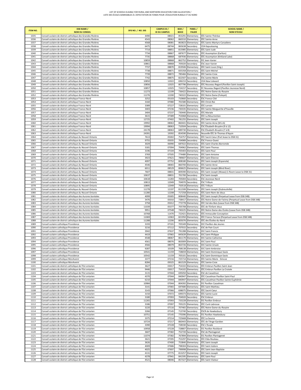| <b>ITEM NO.</b> | <b>DSB NAME /</b><br><b>NOM DU CONSEIL</b>                                                                                   | SFIS NO. / NO. SIIS | <b>CAMPUS ID /</b><br><b>ID DU CAMPUS</b> | BSID/<br><b>BDICE</b> | PANEL/<br><b>PALIER</b>                | <b>SCHOOL NAME /</b><br><b>NOM D'ÉCOLE</b>                                  |
|-----------------|------------------------------------------------------------------------------------------------------------------------------|---------------------|-------------------------------------------|-----------------------|----------------------------------------|-----------------------------------------------------------------------------|
| 1035            | Conseil scolaire de district catholique des Grandes Rivières                                                                 | 4490                | 08021                                     |                       | 853291 Elementary                      | ÉÉC Sainte-Thérèse                                                          |
| 1036            | Conseil scolaire de district catholique des Grandes Rivières                                                                 | 4543                | 08062                                     |                       | 860310 Elementary                      | ÉÉC Sainte-Anne                                                             |
| 1037            | Conseil scolaire de district catholique des Grandes Rivières                                                                 | 4568                | 08081                                     |                       | 863823 Elementary                      | ÉÉC Saints-Martyrs-Canadiens                                                |
| 1038            | Conseil scolaire de district catholique des Grandes Rivières                                                                 | 6475                | 08744                                     |                       | 865638 Secondary                       | <b>CEA Kapuskasing</b>                                                      |
| 1039<br>1040    | Conseil scolaire de district catholique des Grandes Rivières<br>Conseil scolaire de district catholique des Grandes Rivières | 7714<br>7734        | 08851<br>08867                            |                       | 815985 Elementary<br>687677 Elementary | ÉÉC Saint-Jude<br>ÉÉC Assomption (Earlton)                                  |
| 1041            | Conseil scolaire de district catholique des Grandes Rivières                                                                 | 7735                | 08868                                     |                       | 687936 Elementary                      | ÉÉC Assomption (Kirkland Lake)                                              |
| 1042            | Conseil scolaire de district catholique des Grandes Rivières                                                                 | 10859               | 08868                                     |                       | 862752 Elementary                      | ÉIC Jean-Vanier                                                             |
| 1043            | Conseil scolaire de district catholique des Grandes Rivières                                                                 | 10861               | 08868                                     |                       | 705020 Secondary                       | ÉSC Jean-Vanier                                                             |
| 1044            | Conseil scolaire de district catholique des Grandes Rivières                                                                 | 7737                | 08870                                     |                       | 819506 Elementary                      | ÉÉC Saint-Louis (Virg.)                                                     |
| 1045            | Conseil scolaire de district catholique des Grandes Rivières                                                                 | 7738                | 08871                                     |                       | 835358 Elementary                      | ÉÉC Saint-Michel                                                            |
| 1046            | Conseil scolaire de district catholique des Grandes Rivières                                                                 | 7739                | 08872                                     |                       | 785466 Elementary                      | ÉÉC Sainte-Croix                                                            |
| 1047<br>1048    | Conseil scolaire de district catholique des Grandes Rivières<br>Conseil scolaire de district catholique des Grandes Rivières | 7742<br>10850       | 08875<br>12022                            |                       | 822507 Secondary<br>696153 Secondary   | ÉSC Sainte-Marie<br>CEA New Liskeard                                        |
| 1049            | Conseil scolaire de district catholique des Grandes Rivières                                                                 | 10856               | 12025                                     |                       | 807796 Elementary                      | ÉÉC Nouveau Regard (Pavillon Saint-Joseph)                                  |
| 1050            | Conseil scolaire de district catholique des Grandes Rivières                                                                 | 10857               | 12025                                     |                       | 724157 Secondary                       | ÉC Nouveau Regard (Pavillon Jeunesse Nord)                                  |
| 1051            | Conseil scolaire de district catholique des Grandes Rivières                                                                 | 11273               | 12199                                     |                       | 736422 Elementary                      | ÉÉC Notre-Dame-du-Rosaire                                                   |
| 1052            | Conseil scolaire de district catholique des Grandes Rivières                                                                 | 11276               | 12200                                     |                       | 740322 Elementary                      | ÉÉC Notre-Dame (Foleyet)                                                    |
| 1053            | Conseil scolaire de district catholique Franco-Nord                                                                          | 3252                | 05103                                     |                       | 710660 Secondary                       | ÉSC Franco-Cité                                                             |
| 1054            | Conseil scolaire de district catholique Franco-Nord                                                                          | 3160                | 07080                                     |                       | 701580 Elementary                      | ÉÉC Christ-Roi                                                              |
| 1055            | Conseil scolaire de district catholique Franco-Nord                                                                          | 3389                | 07227                                     |                       | 728101 Elementary                      | ÉÉC Lorrain                                                                 |
| 1056<br>1057    | Conseil scolaire de district catholique Franco-Nord<br>Conseil scolaire de district catholique Franco-Nord                   | 3403<br>3404        | 07236<br>07237                            |                       | 730335 Elementary<br>730440 Elementary | ÉÉC Sainte-Marguerite-d'Youville<br>ÉÉC Mariale                             |
| 1058            | Conseil scolaire de district catholique Franco-Nord                                                                          | 3615                | 07389                                     |                       | 753068 Elementary                      | ÉÉC La Résurrection                                                         |
| 1059            | Conseil scolaire de district catholique Franco-Nord                                                                          | 12725               | 07402                                     |                       | 781255 Elementary                      | ÉÉC Saint-Joseph                                                            |
| 1060            | Conseil scolaire de district catholique Franco-Nord                                                                          | 19992               | 08063                                     |                       | 860441 Elementary                      | ÉÉC Sainte-Anne (M à 6)                                                     |
| 1061            | Conseil scolaire de district catholique Franco-Nord                                                                          | 19994               | 08063                                     |                       | 710504 Secondary                       | ÉSC Élisabeth-Bruyère (9 à 12)                                              |
| 1062            | Conseil scolaire de district catholique Franco-Nord                                                                          | 24178               | 08063                                     |                       | 689730 Elementary                      | ÉSC Élisabeth-Bruyère (7 à 8)                                               |
| 1063            | Conseil scolaire de district catholique Franco-Nord                                                                          | 24391               | 19392                                     |                       | 854590 Elementary                      | Nouvelle ÉÉC St-Thomas d'Aquin                                              |
| 1064            | Conseil scolaire de district catholique du Nouvel-Ontario                                                                    | 7613                | 05002                                     |                       | 754757 Elementary                      | ÉÉC Sacré-Cœur (Part lease to DSB 31)<br>ÉSC Franco-Ouest                   |
| 1065<br>1066    | Conseil scolaire de district catholique du Nouvel-Ontario<br>Conseil scolaire de district catholique du Nouvel-Ontario       | 9755<br>3029        | 05035<br>06990                            | 687022                | 704989 Secondary<br>Elementary         | ÉÉC Saint-Charles-Borromée                                                  |
| 1067            | Conseil scolaire de district catholique du Nouvel-Ontario                                                                    | 3181                | 07094                                     |                       | 704962 Elementary                      | ÉÉC Saint-Thomas                                                            |
| 1068            | Conseil scolaire de district catholique du Nouvel-Ontario                                                                    | 3196                | 07104                                     |                       | 705403 Elementary                      | ÉÉC Saint-Paul                                                              |
| 1069            | Conseil scolaire de district catholique du Nouvel-Ontario                                                                    | 3769                | 07505                                     |                       | 774480 Elementary                      | ÉÉC Saint-Antoine                                                           |
| 1070            | Conseil scolaire de district catholique du Nouvel-Ontario                                                                    | 3923                | 07621                                     | 789607                | Elementary                             | ÉÉC Saint-Étienne                                                           |
| 1071            | Conseil scolaire de district catholique du Nouvel-Ontario                                                                    | 4097                | 07752                                     |                       | 808180 Elementary                      | ÉÉC Saint-Joseph (Espanola)                                                 |
| 1072            | Conseil scolaire de district catholique du Nouvel-Ontario                                                                    | 4546                | 08065                                     |                       | 860700 Elementary                      | ÉÉC Sainte-Anne                                                             |
| 1073            | Conseil scolaire de district catholique du Nouvel-Ontario                                                                    | 6011<br>7607        | 08529<br>08831                            |                       | 806625 Elementary                      | ÉÉC Saint-Joseph (Blind River)                                              |
| 1074<br>1075    | Conseil scolaire de district catholique du Nouvel-Ontario<br>Conseil scolaire de district catholique du Nouvel-Ontario       | 10637               | 08831                                     |                       | 809390 Elementary<br>701700 Secondary  | ÉÉC Saint-Joseph (Wawa) (1 Room Lease to DSB 31)<br><b>ÉSC Saint-Joseph</b> |
| 1076            | Conseil scolaire de district catholique du Nouvel-Ontario                                                                    | 10618               | 11283                                     | 705004                | Secondary                              | ÉSC Jeunesse-Nord                                                           |
| 1077            | Conseil scolaire de district catholique du Nouvel-Ontario                                                                    | 10813               | 12049                                     |                       | 704970 Secondary                       | ÉSC Trillium                                                                |
| 1078            | Conseil scolaire de district catholique du Nouvel-Ontario                                                                    | 10895               | 12049                                     |                       | 750518 Elementary                      | ÉÉC Trillium                                                                |
| 1079            | Conseil scolaire de district catholique du Nouvel-Ontario                                                                    | 11278               | 12197                                     |                       | 811599 Elementary                      | ÉÉC Saint-Joseph (Dubreuilville)                                            |
| 1080            | Conseil scolaire de district catholique du Nouvel-Ontario                                                                    | 11280               | 12208                                     |                       | 717258 Elementary                      | ÉÉC Saint-Nom-de-Jésus                                                      |
| 1081            | Conseil scolaire de district catholique des Aurores boréales                                                                 | 4099                | 05005                                     |                       | 808440 Elementary                      | ÉÉC Saint-Joseph (Perpetual Lease from DSB 34B)                             |
| 1082<br>1083    | Conseil scolaire de district catholique des Aurores boréales                                                                 | 3476<br>3758        | 05010<br>05012                            |                       | 738417 Elementary<br>773778 Elementary | ÉÉC Notre-Dame-de-Fatima (Perpetual Lease from DSB 34B)                     |
| 1084            | Conseil scolaire de district catholique des Aurores boréales<br>Conseil scolaire de district catholique des Aurores boréales | 11039               | 05377                                     |                       | 705708 Elementary                      | ÉÉC Val-des-Bois (Lease from DSB 34B)<br>ÉÉC de l'Enfant-Jésus              |
| 1085            | Conseil scolaire de district catholique des Aurores boréales                                                                 | 9951                | 07548                                     | 740225                | Elementary                             | ÉÉC Notre-Dame-des-Écoles (Lease from DSB 34B)                              |
| 1086            | Conseil scolaire de district catholique des Aurores boréales                                                                 | 10768               | 11470                                     |                       | 722421 Elementary                      | ÉÉC Immaculée-Conception                                                    |
| 1087            | Conseil scolaire de district catholique des Aurores boréales                                                                 | 11069               | 12063                                     |                       | 821950 Elementary                      | ÉÉC Franco-Terrace (Perpetual Lease from DSB 34B)                           |
| 1088            | Conseil scolaire de district catholique des Aurores boréales                                                                 | 11288               | 12206                                     |                       | 805076 Elementary                      | ÉÉC des Étoiles-du-Nord                                                     |
| 1089            | Conseil scolaire catholique Providence                                                                                       | 3193                | 07101                                     |                       | 705349 Elementary                      | EEC Pavillon des Jeunes                                                     |
| 1090<br>1091    | Conseil scolaire catholique Providence<br>Conseil scolaire catholique Providence                                             | 3216<br>3942        | 07112<br>07637                            | 707015                | Secondary<br>791288 Elementary         | ESC de Pain Court<br><b>EEC Saint-Francis</b>                               |
| 1092            | Conseil scolaire catholique Providence                                                                                       | 4419                | 07965                                     | 845639                | Elementary                             | <b>EEC Saint-Philippe</b>                                                   |
| 1093            | Conseil scolaire catholique Providence                                                                                       | 4548                | 08067                                     | 861170                | Elementary                             | <b>EEC Sainte-Catherine</b>                                                 |
| 1094            | Conseil scolaire catholique Providence                                                                                       | 4561                | 08076                                     |                       | 863009 Elementary                      | <b>EEC Saint-Paul</b>                                                       |
| 1095            | Conseil scolaire catholique Providence                                                                                       | 4566                | 08079                                     |                       | 863726 Elementary                      | <b>EEC Sainte-Ursule</b>                                                    |
| 1096            | Conseil scolaire catholique Providence                                                                                       | 9287                | 10109                                     |                       | 768138 Elementary                      | <b>EEC Saint-Ambroise</b>                                                   |
| 1097            | Conseil scolaire catholique Providence                                                                                       | 10541               | 11159                                     |                       | 728659 Elementary                      | EEC Saint-Dominique-Savio                                                   |
| 1098            | Conseil scolaire catholique Providence                                                                                       | 10542               | 11159                                     |                       | 705101 Secondary                       | ESC Saint-Dominique-Savio                                                   |
| 1099<br>1100    | Conseil scolaire catholique MonAvenir<br>Conseil scolaire catholique MonAvenir                                               | 3377<br>8284        | 07216<br>09325                            |                       | 725714 Elementary<br>861529 Elementary | ÉÉC Sainte-Marie - Simcoe<br>ÉÉC Sainte-Croix                               |
| 1101            | Conseil scolaire de district catholique de l'Est ontarien                                                                    | 3627                | 03017                                     |                       | 754102 Elementary                      | ÉÉC Embrun Pavillon Saint-Jean                                              |
| 1102            | Conseil scolaire de district catholique de l'Est ontarien                                                                    | 9446                | 03017                                     |                       | 754102 Elementary                      | ÉÉC Embrun Pavillon La Croisée                                              |
| 1103            | Conseil scolaire de district catholique de l'Est ontarien                                                                    | 3115                | 07044                                     |                       | 695050 Secondary                       | ÉSC de Casselman                                                            |
| 1104            | Conseil scolaire de district catholique de l'Est ontarien                                                                    | 4370                | 07044                                     |                       | 840947 Elementary                      | ÉÉC Casselman Pavillon Saint-Paul                                           |
| 1105            | Conseil scolaire de district catholique de l'Est ontarien                                                                    | 6210                | 07044                                     |                       | 840947 Elementary                      | ÉÉC Casselman Pavillon Sainte-Euphémie                                      |
| 1106            | Conseil scolaire de district catholique de l'Est ontarien                                                                    | 10984               | 07044                                     |                       | 804392 Elementary                      | ÉIC Pavillon Casselman                                                      |
| 1107<br>1108    | Conseil scolaire de district catholique de l'Est ontarien<br>Conseil scolaire de district catholique de l'Est ontarien       | 3141<br>3143        | 07065<br>07066                            |                       | 697680 Elementary<br>698075 Elementary | ÉÉC Saint-Mathieu<br>ÉÉC Sacré-Cœur                                         |
| 1109            | Conseil scolaire de district catholique de l'Est ontarien                                                                    | 3150                | 07072                                     |                       | 699373 Elementary                      | ÉÉC Sainte-Lucie                                                            |
| 1110            | Conseil scolaire de district catholique de l'Est ontarien                                                                    | 3180                | 07093                                     |                       | 704920 Secondary                       | ÉSC Embrun                                                                  |
| 1111            | Conseil scolaire de district catholique de l'Est ontarien                                                                    | 11265               | 07093                                     |                       | 733228 Elementary                      | ÉIC Pavillon Embrun                                                         |
| 1112            | Conseil scolaire de district catholique de l'Est ontarien                                                                    | 3186                | 07097                                     |                       | 705225 Elementary                      | ÉÉC Curé-Labrosse                                                           |
| 1113            | Conseil scolaire de district catholique de l'Est ontarien                                                                    | 3220                | 07116                                     |                       | 707465 Elementary                      | ÉÉC Notre-Dame-du-Rosaire                                                   |
| 1114            | Conseil scolaire de district catholique de l'Est ontarien                                                                    | 3266                | 07145                                     |                       | 713740 Secondary                       | ÉSCR de Hawkesbury                                                          |
| 1115            | Conseil scolaire de district catholique de l'Est ontarien                                                                    | 10751               | 07145                                     |                       | 770396 Elementary                      | ÉIC Pavillon Hawkesbury                                                     |
| 1116<br>1117    | Conseil scolaire de district catholique de l'Est ontarien<br>Conseil scolaire de district catholique de l'Est ontarien       | 3375<br>10724       | 07214<br>07217                            |                       | 725668 Elementary<br>860443 Elementary | ÉÉC La Source<br>ÉÉC de l'Ange-Gardien                                      |
| 1118            | Conseil scolaire de district catholique de l'Est ontarien                                                                    | 3390                | 07228                                     |                       | 728330 Secondary                       | ÉSC L'Escale                                                                |
| 1119            | Conseil scolaire de district catholique de l'Est ontarien                                                                    | 10958               | 07228                                     |                       | 728807 Elementary                      | ÉIC Pavillon Rockland                                                       |
| 1120            | Conseil scolaire de district catholique de l'Est ontarien                                                                    | 3607                | 07382                                     |                       | 752720 Secondary                       | ÉSC de Plantagenet                                                          |
| 1121            | Conseil scolaire de district catholique de l'Est ontarien                                                                    | 11074               | 07382                                     |                       | 767894 Elementary                      | ÉIC Pavillon Plantagenet                                                    |
| 1122            | Conseil scolaire de district catholique de l'Est ontarien                                                                    | 3621                | 07395                                     |                       | 753297 Elementary                      | ÉÉC Elda-Rouleau                                                            |
| 1123            | Conseil scolaire de district catholique de l'Est ontarien                                                                    | 3626                | 07400                                     |                       | 753840 Elementary                      | ÉÉC Saint-Joseph                                                            |
| 1124            | Conseil scolaire de district catholique de l'Est ontarien                                                                    | 4009                | 07686                                     |                       | 798304 Elementary                      | ÉÉC Saint-Isidore                                                           |
| 1125<br>1126    | Conseil scolaire de district catholique de l'Est ontarien<br>Conseil scolaire de district catholique de l'Est ontarien       | 4025<br>4131        | 07697<br>07775                            |                       | 799998 Elementary<br>813257 Elementary | ÉÉC Saint-Jean-Baptiste<br>ÉÉC Saint-Joseph                                 |
| 1127            | Conseil scolaire de district catholique de l'Est ontarien                                                                    | 4378                | 07941                                     |                       | 841595 Elementary                      | ÉÉC Saint-Paul                                                              |
| 1128            | Conseil scolaire de district catholique de l'Est ontarien                                                                    | 4521                | 08046                                     |                       | 857327 Elementary                      | ÉÉC Saint-Viateur                                                           |